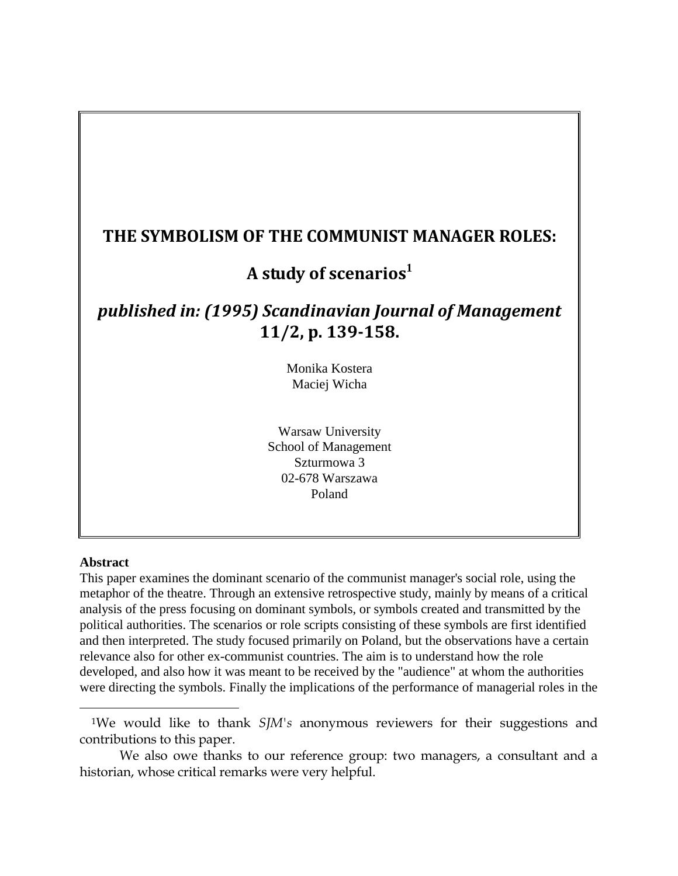### **THE SYMBOLISM OF THE COMMUNIST MANAGER ROLES:**

## **A study of scenarios<sup>1</sup>**

## *published in: (1995) Scandinavian Journal of Management*  **11/2, p. 139-158.**

Monika Kostera Maciej Wicha

Warsaw University School of Management Szturmowa 3 02-678 Warszawa Poland

#### **Abstract**

 $\overline{a}$ 

This paper examines the dominant scenario of the communist manager's social role, using the metaphor of the theatre. Through an extensive retrospective study, mainly by means of a critical analysis of the press focusing on dominant symbols, or symbols created and transmitted by the political authorities. The scenarios or role scripts consisting of these symbols are first identified and then interpreted. The study focused primarily on Poland, but the observations have a certain relevance also for other ex-communist countries. The aim is to understand how the role developed, and also how it was meant to be received by the "audience" at whom the authorities were directing the symbols. Finally the implications of the performance of managerial roles in the

<sup>1</sup>We would like to thank *SJM's* anonymous reviewers for their suggestions and contributions to this paper.

We also owe thanks to our reference group: two managers, a consultant and a historian, whose critical remarks were very helpful.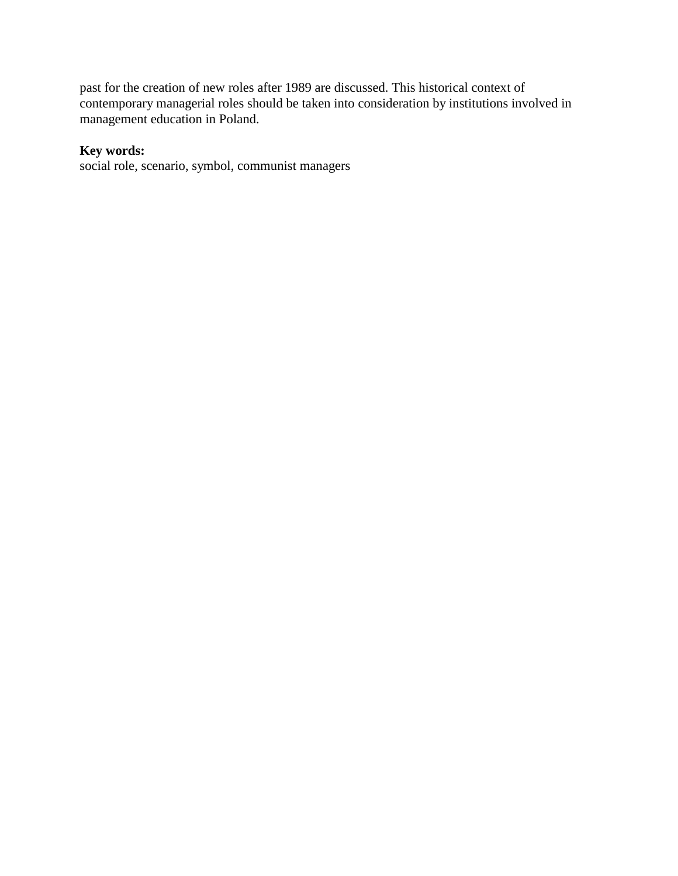past for the creation of new roles after 1989 are discussed. This historical context of contemporary managerial roles should be taken into consideration by institutions involved in management education in Poland.

#### **Key words:**

social role, scenario, symbol, communist managers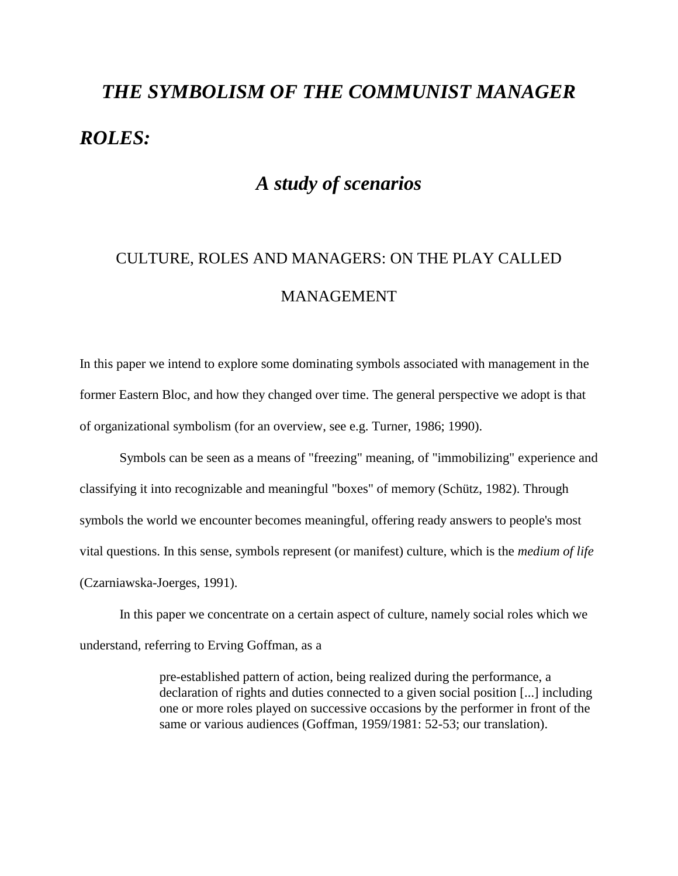# *THE SYMBOLISM OF THE COMMUNIST MANAGER ROLES:*

## *A study of scenarios*

## CULTURE, ROLES AND MANAGERS: ON THE PLAY CALLED MANAGEMENT

In this paper we intend to explore some dominating symbols associated with management in the former Eastern Bloc, and how they changed over time. The general perspective we adopt is that of organizational symbolism (for an overview, see e.g. Turner, 1986; 1990).

Symbols can be seen as a means of "freezing" meaning, of "immobilizing" experience and classifying it into recognizable and meaningful "boxes" of memory (Schütz, 1982). Through symbols the world we encounter becomes meaningful, offering ready answers to people's most vital questions. In this sense, symbols represent (or manifest) culture, which is the *medium of life*  (Czarniawska-Joerges, 1991).

In this paper we concentrate on a certain aspect of culture, namely social roles which we understand, referring to Erving Goffman, as a

> pre-established pattern of action, being realized during the performance, a declaration of rights and duties connected to a given social position [...] including one or more roles played on successive occasions by the performer in front of the same or various audiences (Goffman, 1959/1981: 52-53; our translation).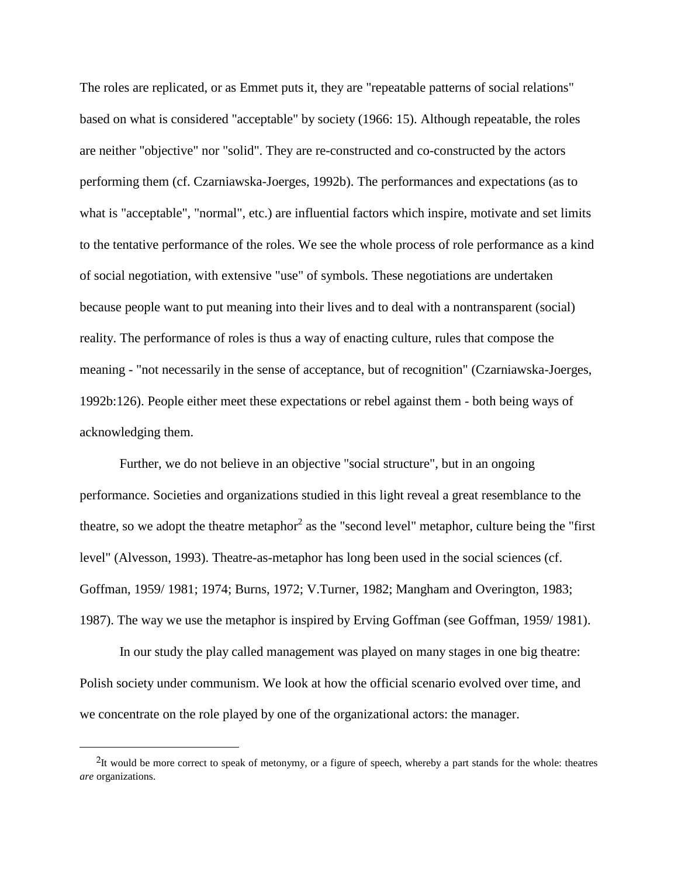The roles are replicated, or as Emmet puts it, they are "repeatable patterns of social relations" based on what is considered "acceptable" by society (1966: 15). Although repeatable, the roles are neither "objective" nor "solid". They are re-constructed and co-constructed by the actors performing them (cf. Czarniawska-Joerges, 1992b). The performances and expectations (as to what is "acceptable", "normal", etc.) are influential factors which inspire, motivate and set limits to the tentative performance of the roles. We see the whole process of role performance as a kind of social negotiation, with extensive "use" of symbols. These negotiations are undertaken because people want to put meaning into their lives and to deal with a nontransparent (social) reality. The performance of roles is thus a way of enacting culture, rules that compose the meaning - "not necessarily in the sense of acceptance, but of recognition" (Czarniawska-Joerges, 1992b:126). People either meet these expectations or rebel against them - both being ways of acknowledging them.

Further, we do not believe in an objective "social structure", but in an ongoing performance. Societies and organizations studied in this light reveal a great resemblance to the theatre, so we adopt the theatre metaphor<sup>2</sup> as the "second level" metaphor, culture being the "first" level" (Alvesson, 1993). Theatre-as-metaphor has long been used in the social sciences (cf. Goffman, 1959/ 1981; 1974; Burns, 1972; V.Turner, 1982; Mangham and Overington, 1983; 1987). The way we use the metaphor is inspired by Erving Goffman (see Goffman, 1959/ 1981).

In our study the play called management was played on many stages in one big theatre: Polish society under communism. We look at how the official scenario evolved over time, and we concentrate on the role played by one of the organizational actors: the manager.

<sup>2</sup>It would be more correct to speak of metonymy, or a figure of speech, whereby a part stands for the whole: theatres *are* organizations.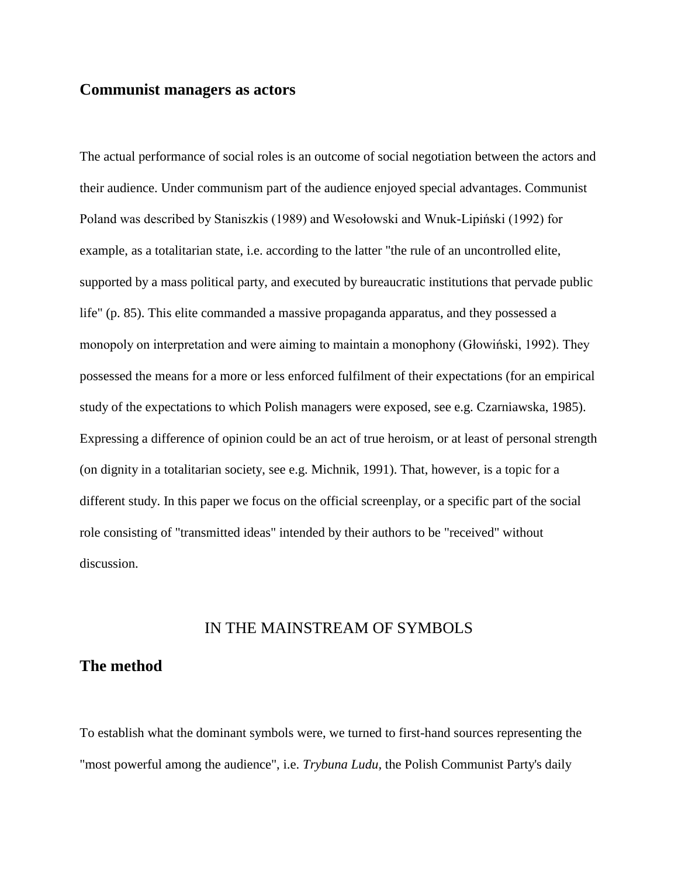#### **Communist managers as actors**

The actual performance of social roles is an outcome of social negotiation between the actors and their audience. Under communism part of the audience enjoyed special advantages. Communist Poland was described by Staniszkis (1989) and Wesołowski and Wnuk-Lipiński (1992) for example, as a totalitarian state, i.e. according to the latter "the rule of an uncontrolled elite, supported by a mass political party, and executed by bureaucratic institutions that pervade public life" (p. 85). This elite commanded a massive propaganda apparatus, and they possessed a monopoly on interpretation and were aiming to maintain a monophony (Głowiński, 1992). They possessed the means for a more or less enforced fulfilment of their expectations (for an empirical study of the expectations to which Polish managers were exposed, see e.g. Czarniawska, 1985). Expressing a difference of opinion could be an act of true heroism, or at least of personal strength (on dignity in a totalitarian society, see e.g. Michnik, 1991). That, however, is a topic for a different study. In this paper we focus on the official screenplay, or a specific part of the social role consisting of "transmitted ideas" intended by their authors to be "received" without discussion.

#### IN THE MAINSTREAM OF SYMBOLS

#### **The method**

To establish what the dominant symbols were, we turned to first-hand sources representing the "most powerful among the audience", i.e. *Trybuna Ludu,* the Polish Communist Party's daily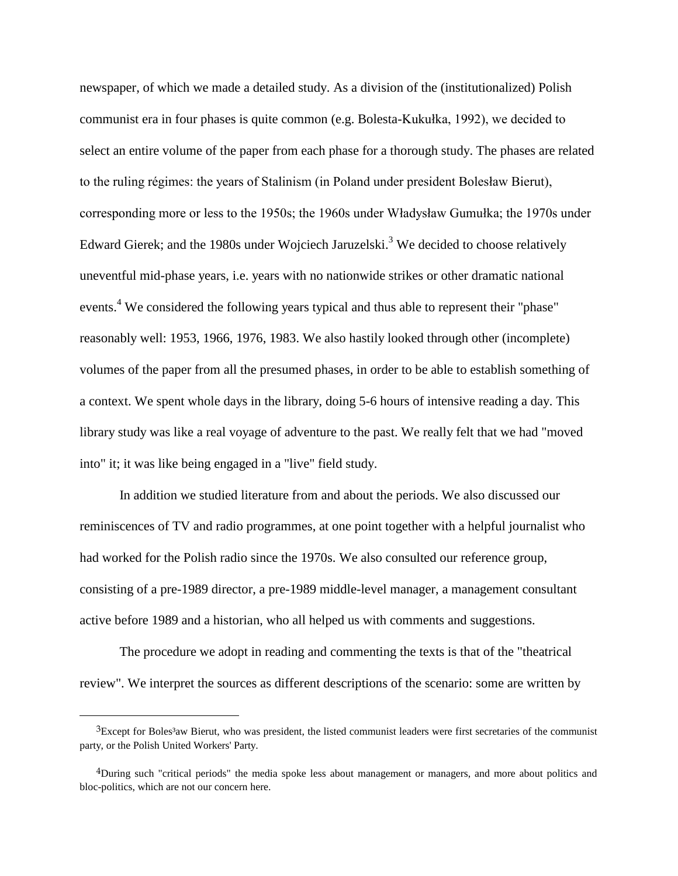newspaper, of which we made a detailed study. As a division of the (institutionalized) Polish communist era in four phases is quite common (e.g. Bolesta-Kukułka, 1992), we decided to select an entire volume of the paper from each phase for a thorough study. The phases are related to the ruling régimes: the years of Stalinism (in Poland under president Bolesław Bierut), corresponding more or less to the 1950s; the 1960s under Władysław Gumułka; the 1970s under Edward Gierek; and the 1980s under Wojciech Jaruzelski.<sup>3</sup> We decided to choose relatively uneventful mid-phase years, i.e. years with no nationwide strikes or other dramatic national events.<sup>4</sup> We considered the following years typical and thus able to represent their "phase" reasonably well: 1953, 1966, 1976, 1983. We also hastily looked through other (incomplete) volumes of the paper from all the presumed phases, in order to be able to establish something of a context. We spent whole days in the library, doing 5-6 hours of intensive reading a day. This library study was like a real voyage of adventure to the past. We really felt that we had "moved into" it; it was like being engaged in a "live" field study.

In addition we studied literature from and about the periods. We also discussed our reminiscences of TV and radio programmes, at one point together with a helpful journalist who had worked for the Polish radio since the 1970s. We also consulted our reference group, consisting of a pre-1989 director, a pre-1989 middle-level manager, a management consultant active before 1989 and a historian, who all helped us with comments and suggestions.

The procedure we adopt in reading and commenting the texts is that of the "theatrical review". We interpret the sources as different descriptions of the scenario: some are written by

 ${}^{3}$ Except for Boles ${}^{3}$ aw Bierut, who was president, the listed communist leaders were first secretaries of the communist party, or the Polish United Workers' Party.

<sup>4</sup>During such "critical periods" the media spoke less about management or managers, and more about politics and bloc-politics, which are not our concern here.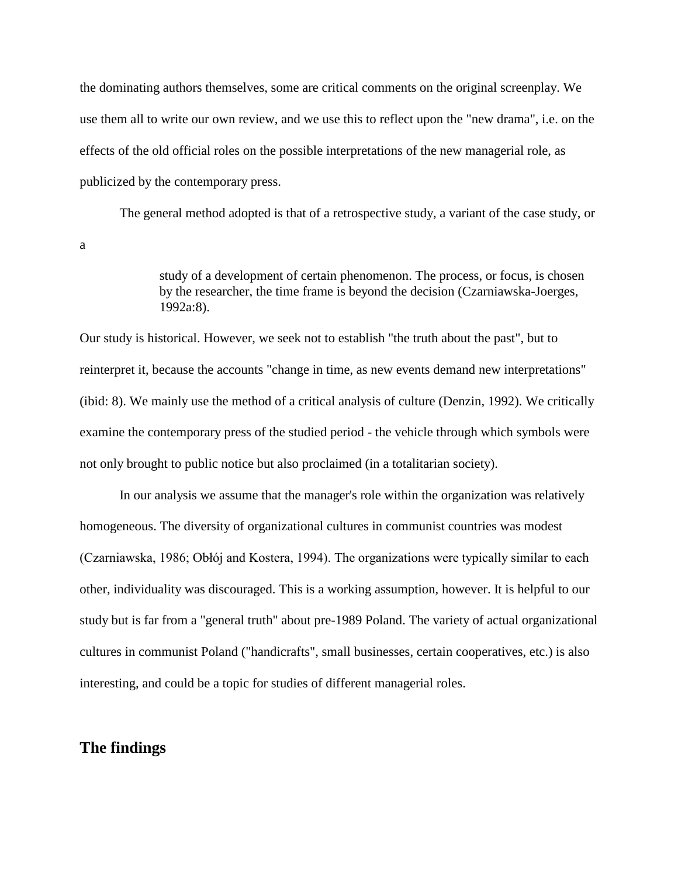the dominating authors themselves, some are critical comments on the original screenplay. We use them all to write our own review, and we use this to reflect upon the "new drama", i.e. on the effects of the old official roles on the possible interpretations of the new managerial role, as publicized by the contemporary press.

The general method adopted is that of a retrospective study, a variant of the case study, or a

> study of a development of certain phenomenon. The process, or focus, is chosen by the researcher, the time frame is beyond the decision (Czarniawska-Joerges, 1992a:8).

Our study is historical. However, we seek not to establish "the truth about the past", but to reinterpret it, because the accounts "change in time, as new events demand new interpretations" (ibid: 8). We mainly use the method of a critical analysis of culture (Denzin, 1992). We critically examine the contemporary press of the studied period - the vehicle through which symbols were not only brought to public notice but also proclaimed (in a totalitarian society).

In our analysis we assume that the manager's role within the organization was relatively homogeneous. The diversity of organizational cultures in communist countries was modest (Czarniawska, 1986; Obłój and Kostera, 1994). The organizations were typically similar to each other, individuality was discouraged. This is a working assumption, however. It is helpful to our study but is far from a "general truth" about pre-1989 Poland. The variety of actual organizational cultures in communist Poland ("handicrafts", small businesses, certain cooperatives, etc.) is also interesting, and could be a topic for studies of different managerial roles.

#### **The findings**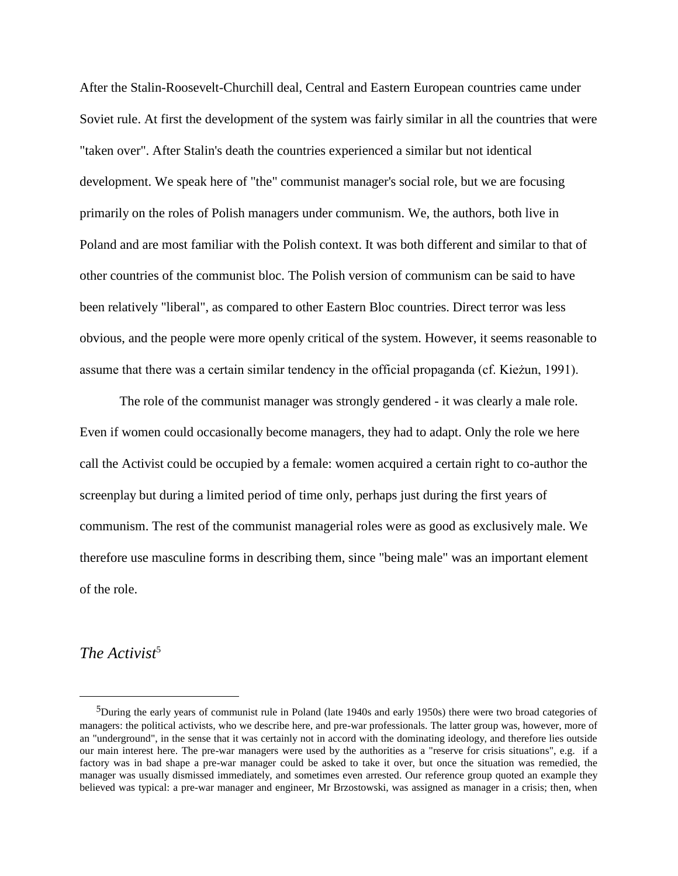After the Stalin-Roosevelt-Churchill deal, Central and Eastern European countries came under Soviet rule. At first the development of the system was fairly similar in all the countries that were "taken over". After Stalin's death the countries experienced a similar but not identical development. We speak here of "the" communist manager's social role, but we are focusing primarily on the roles of Polish managers under communism. We, the authors, both live in Poland and are most familiar with the Polish context. It was both different and similar to that of other countries of the communist bloc. The Polish version of communism can be said to have been relatively "liberal", as compared to other Eastern Bloc countries. Direct terror was less obvious, and the people were more openly critical of the system. However, it seems reasonable to assume that there was a certain similar tendency in the official propaganda (cf. Kieżun, 1991).

The role of the communist manager was strongly gendered - it was clearly a male role. Even if women could occasionally become managers, they had to adapt. Only the role we here call the Activist could be occupied by a female: women acquired a certain right to co-author the screenplay but during a limited period of time only, perhaps just during the first years of communism. The rest of the communist managerial roles were as good as exclusively male. We therefore use masculine forms in describing them, since "being male" was an important element of the role.

#### *The Activist*<sup>5</sup>

<sup>5</sup>During the early years of communist rule in Poland (late 1940s and early 1950s) there were two broad categories of managers: the political activists, who we describe here, and pre-war professionals. The latter group was, however, more of an "underground", in the sense that it was certainly not in accord with the dominating ideology, and therefore lies outside our main interest here. The pre-war managers were used by the authorities as a "reserve for crisis situations", e.g. if a factory was in bad shape a pre-war manager could be asked to take it over, but once the situation was remedied, the manager was usually dismissed immediately, and sometimes even arrested. Our reference group quoted an example they believed was typical: a pre-war manager and engineer, Mr Brzostowski, was assigned as manager in a crisis; then, when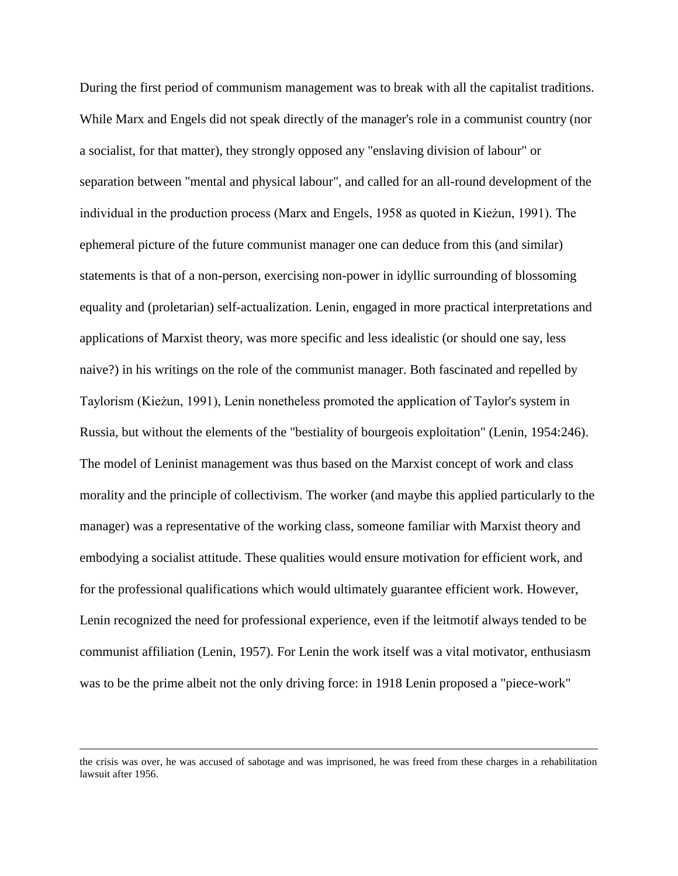During the first period of communism management was to break with all the capitalist traditions. While Marx and Engels did not speak directly of the manager's role in a communist country (nor a socialist, for that matter), they strongly opposed any "enslaving division of labour" or separation between "mental and physical labour", and called for an all-round development of the individual in the production process (Marx and Engels, 1958 as quoted in Kieżun, 1991). The ephemeral picture of the future communist manager one can deduce from this (and similar) statements is that of a non-person, exercising non-power in idyllic surrounding of blossoming equality and (proletarian) self-actualization. Lenin, engaged in more practical interpretations and applications of Marxist theory, was more specific and less idealistic (or should one say, less naive?) in his writings on the role of the communist manager. Both fascinated and repelled by Taylorism (Kieżun, 1991), Lenin nonetheless promoted the application of Taylor's system in Russia, but without the elements of the "bestiality of bourgeois exploitation" (Lenin, 1954:246). The model of Leninist management was thus based on the Marxist concept of work and class morality and the principle of collectivism. The worker (and maybe this applied particularly to the manager) was a representative of the working class, someone familiar with Marxist theory and embodying a socialist attitude. These qualities would ensure motivation for efficient work, and for the professional qualifications which would ultimately guarantee efficient work. However, Lenin recognized the need for professional experience, even if the leitmotif always tended to be communist affiliation (Lenin, 1957). For Lenin the work itself was a vital motivator, enthusiasm was to be the prime albeit not the only driving force: in 1918 Lenin proposed a "piece-work"

the crisis was over, he was accused of sabotage and was imprisoned, he was freed from these charges in a rehabilitation lawsuit after 1956.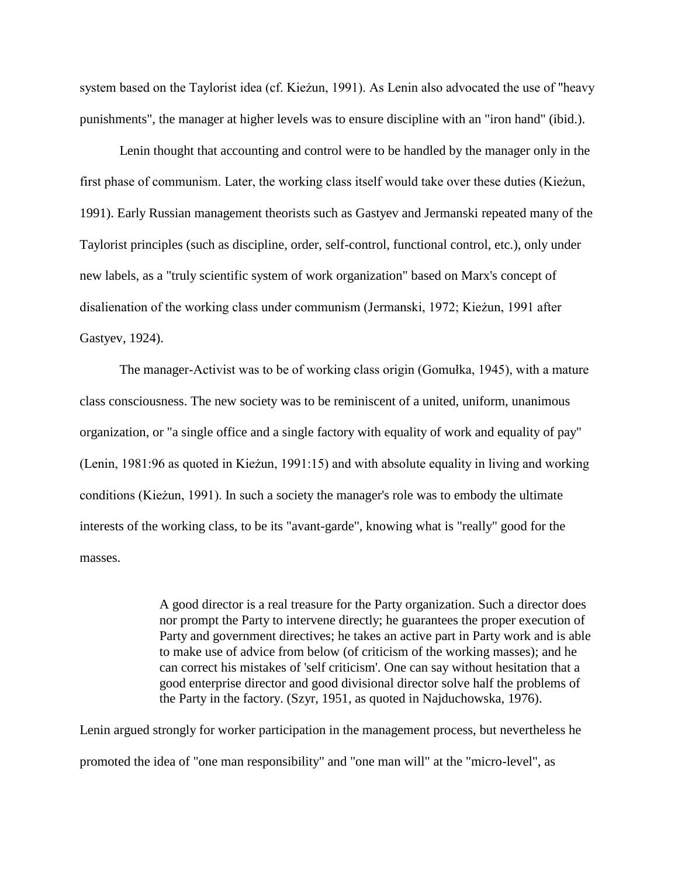system based on the Taylorist idea (cf. Kieżun, 1991). As Lenin also advocated the use of "heavy punishments", the manager at higher levels was to ensure discipline with an "iron hand" (ibid.).

Lenin thought that accounting and control were to be handled by the manager only in the first phase of communism. Later, the working class itself would take over these duties (Kieżun, 1991). Early Russian management theorists such as Gastyev and Jermanski repeated many of the Taylorist principles (such as discipline, order, self-control, functional control, etc.), only under new labels, as a "truly scientific system of work organization" based on Marx's concept of disalienation of the working class under communism (Jermanski, 1972; Kieżun, 1991 after Gastyev, 1924).

The manager-Activist was to be of working class origin (Gomułka, 1945), with a mature class consciousness. The new society was to be reminiscent of a united, uniform, unanimous organization, or "a single office and a single factory with equality of work and equality of pay" (Lenin, 1981:96 as quoted in Kieżun, 1991:15) and with absolute equality in living and working conditions (Kieżun, 1991). In such a society the manager's role was to embody the ultimate interests of the working class, to be its "avant-garde", knowing what is "really" good for the masses.

> A good director is a real treasure for the Party organization. Such a director does nor prompt the Party to intervene directly; he guarantees the proper execution of Party and government directives; he takes an active part in Party work and is able to make use of advice from below (of criticism of the working masses); and he can correct his mistakes of 'self criticism'. One can say without hesitation that a good enterprise director and good divisional director solve half the problems of the Party in the factory. (Szyr, 1951, as quoted in Najduchowska, 1976).

Lenin argued strongly for worker participation in the management process, but nevertheless he promoted the idea of "one man responsibility" and "one man will" at the "micro-level", as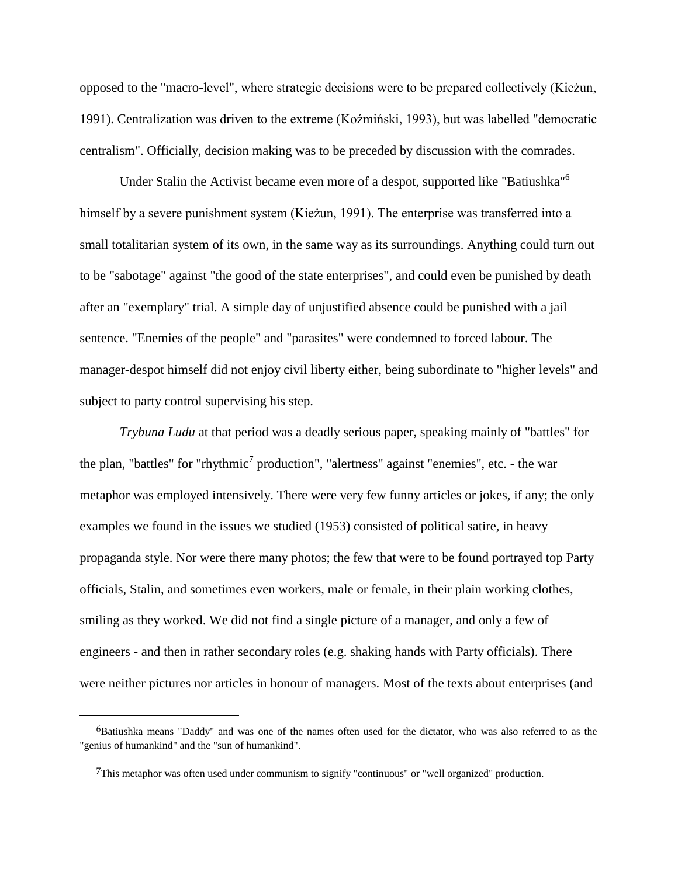opposed to the "macro-level", where strategic decisions were to be prepared collectively (Kieżun, 1991). Centralization was driven to the extreme (Koźmiński, 1993), but was labelled "democratic centralism". Officially, decision making was to be preceded by discussion with the comrades.

Under Stalin the Activist became even more of a despot, supported like "Batiushka"<sup>6</sup> himself by a severe punishment system (Kieżun, 1991). The enterprise was transferred into a small totalitarian system of its own, in the same way as its surroundings. Anything could turn out to be "sabotage" against "the good of the state enterprises", and could even be punished by death after an "exemplary" trial. A simple day of unjustified absence could be punished with a jail sentence. "Enemies of the people" and "parasites" were condemned to forced labour. The manager-despot himself did not enjoy civil liberty either, being subordinate to "higher levels" and subject to party control supervising his step.

*Trybuna Ludu* at that period was a deadly serious paper, speaking mainly of "battles" for the plan, "battles" for "rhythmic<sup>7</sup> production", "alertness" against "enemies", etc. - the war metaphor was employed intensively. There were very few funny articles or jokes, if any; the only examples we found in the issues we studied (1953) consisted of political satire, in heavy propaganda style. Nor were there many photos; the few that were to be found portrayed top Party officials, Stalin, and sometimes even workers, male or female, in their plain working clothes, smiling as they worked. We did not find a single picture of a manager, and only a few of engineers - and then in rather secondary roles (e.g. shaking hands with Party officials). There were neither pictures nor articles in honour of managers. Most of the texts about enterprises (and

<sup>6</sup>Batiushka means "Daddy" and was one of the names often used for the dictator, who was also referred to as the "genius of humankind" and the "sun of humankind".

<sup>7</sup>This metaphor was often used under communism to signify "continuous" or "well organized" production.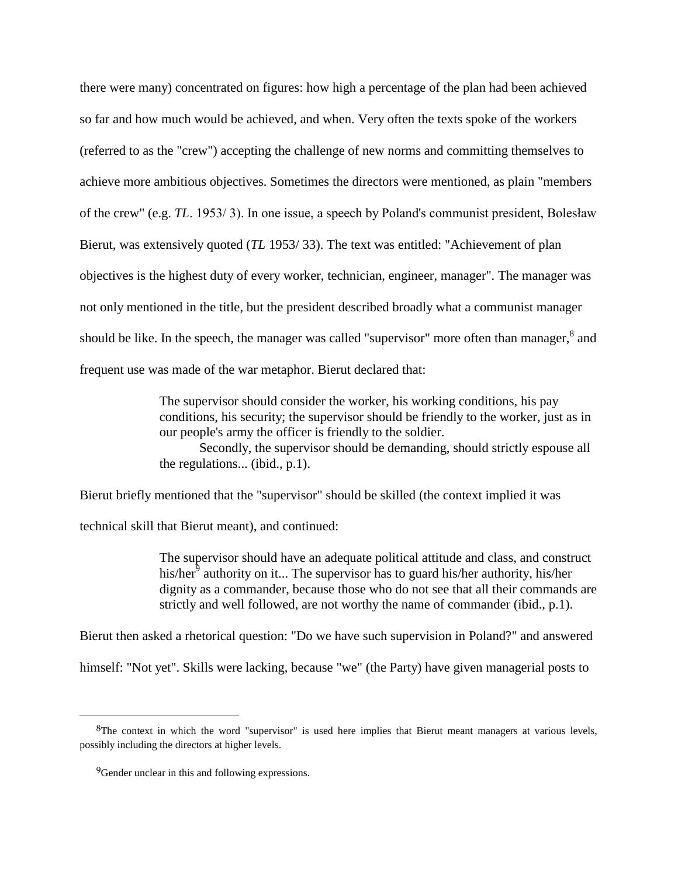there were many) concentrated on figures: how high a percentage of the plan had been achieved so far and how much would be achieved, and when. Very often the texts spoke of the workers (referred to as the "crew") accepting the challenge of new norms and committing themselves to achieve more ambitious objectives. Sometimes the directors were mentioned, as plain "members of the crew" (e.g. *TL*. 1953/ 3). In one issue, a speech by Poland's communist president, Bolesław Bierut, was extensively quoted (*TL* 1953/ 33). The text was entitled: "Achievement of plan objectives is the highest duty of every worker, technician, engineer, manager". The manager was not only mentioned in the title, but the president described broadly what a communist manager should be like. In the speech, the manager was called "supervisor" more often than manager,<sup>8</sup> and frequent use was made of the war metaphor. Bierut declared that:

> The supervisor should consider the worker, his working conditions, his pay conditions, his security; the supervisor should be friendly to the worker, just as in our people's army the officer is friendly to the soldier.

> Secondly, the supervisor should be demanding, should strictly espouse all the regulations... (ibid., p.1).

Bierut briefly mentioned that the "supervisor" should be skilled (the context implied it was technical skill that Bierut meant), and continued:

> The supervisor should have an adequate political attitude and class, and construct his/her<sup>9</sup> authority on it... The supervisor has to guard his/her authority, his/her dignity as a commander, because those who do not see that all their commands are strictly and well followed, are not worthy the name of commander (ibid., p.1).

Bierut then asked a rhetorical question: "Do we have such supervision in Poland?" and answered himself: "Not yet". Skills were lacking, because "we" (the Party) have given managerial posts to

<sup>8</sup>The context in which the word "supervisor" is used here implies that Bierut meant managers at various levels, possibly including the directors at higher levels.

<sup>9</sup>Gender unclear in this and following expressions.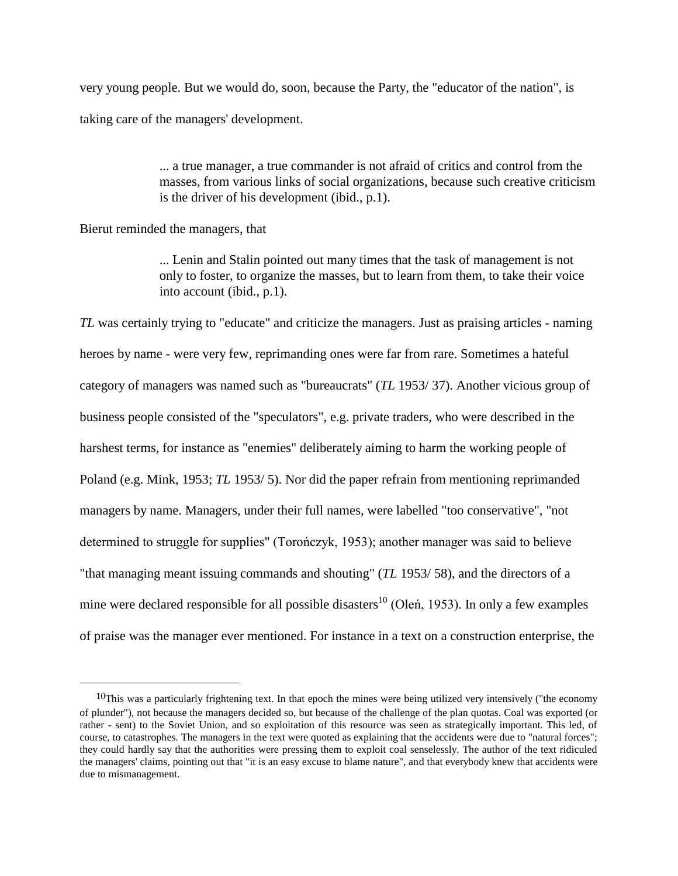very young people. But we would do, soon, because the Party, the "educator of the nation", is taking care of the managers' development.

> ... a true manager, a true commander is not afraid of critics and control from the masses, from various links of social organizations, because such creative criticism is the driver of his development (ibid., p.1).

Bierut reminded the managers, that

 $\overline{a}$ 

... Lenin and Stalin pointed out many times that the task of management is not only to foster, to organize the masses, but to learn from them, to take their voice into account (ibid., p.1).

*TL* was certainly trying to "educate" and criticize the managers. Just as praising articles - naming heroes by name - were very few, reprimanding ones were far from rare. Sometimes a hateful category of managers was named such as "bureaucrats" (*TL* 1953/ 37). Another vicious group of business people consisted of the "speculators", e.g. private traders, who were described in the harshest terms, for instance as "enemies" deliberately aiming to harm the working people of Poland (e.g. Mink, 1953; *TL* 1953/ 5). Nor did the paper refrain from mentioning reprimanded managers by name. Managers, under their full names, were labelled "too conservative", "not determined to struggle for supplies" (Torończyk, 1953); another manager was said to believe "that managing meant issuing commands and shouting" (*TL* 1953/ 58), and the directors of a mine were declared responsible for all possible disasters<sup>10</sup> (Oleń, 1953). In only a few examples of praise was the manager ever mentioned. For instance in a text on a construction enterprise, the

 $10$ This was a particularly frightening text. In that epoch the mines were being utilized very intensively ("the economy of plunder"), not because the managers decided so, but because of the challenge of the plan quotas. Coal was exported (or rather - sent) to the Soviet Union, and so exploitation of this resource was seen as strategically important. This led, of course, to catastrophes. The managers in the text were quoted as explaining that the accidents were due to "natural forces"; they could hardly say that the authorities were pressing them to exploit coal senselessly. The author of the text ridiculed the managers' claims, pointing out that "it is an easy excuse to blame nature", and that everybody knew that accidents were due to mismanagement.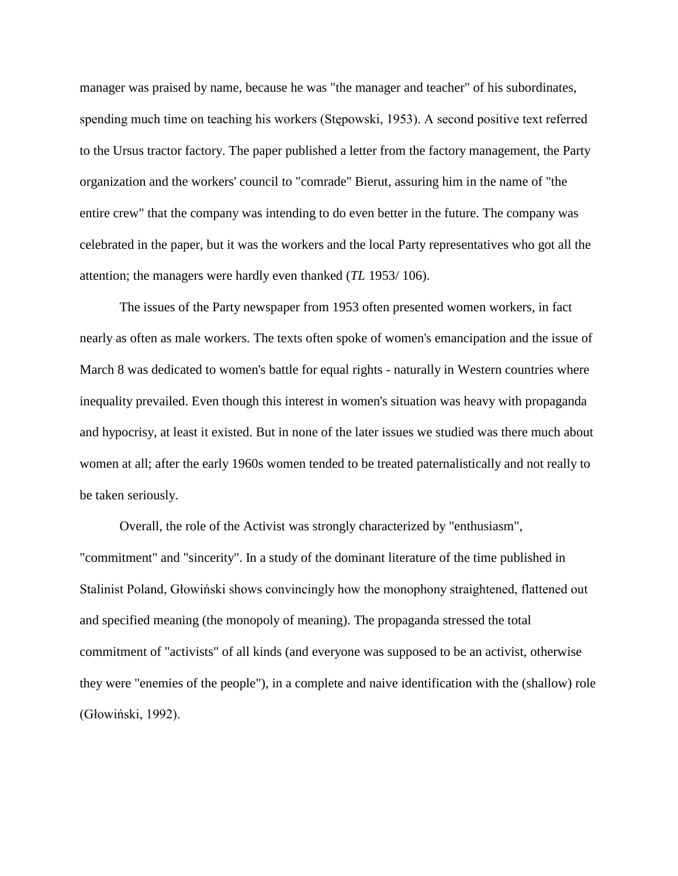manager was praised by name, because he was "the manager and teacher" of his subordinates, spending much time on teaching his workers (Stępowski, 1953). A second positive text referred to the Ursus tractor factory. The paper published a letter from the factory management, the Party organization and the workers' council to "comrade" Bierut, assuring him in the name of "the entire crew" that the company was intending to do even better in the future. The company was celebrated in the paper, but it was the workers and the local Party representatives who got all the attention; the managers were hardly even thanked (*TL* 1953/ 106).

The issues of the Party newspaper from 1953 often presented women workers, in fact nearly as often as male workers. The texts often spoke of women's emancipation and the issue of March 8 was dedicated to women's battle for equal rights - naturally in Western countries where inequality prevailed. Even though this interest in women's situation was heavy with propaganda and hypocrisy, at least it existed. But in none of the later issues we studied was there much about women at all; after the early 1960s women tended to be treated paternalistically and not really to be taken seriously.

Overall, the role of the Activist was strongly characterized by "enthusiasm", "commitment" and "sincerity". In a study of the dominant literature of the time published in Stalinist Poland, Głowiński shows convincingly how the monophony straightened, flattened out and specified meaning (the monopoly of meaning). The propaganda stressed the total commitment of "activists" of all kinds (and everyone was supposed to be an activist, otherwise they were "enemies of the people"), in a complete and naive identification with the (shallow) role (Głowiński, 1992).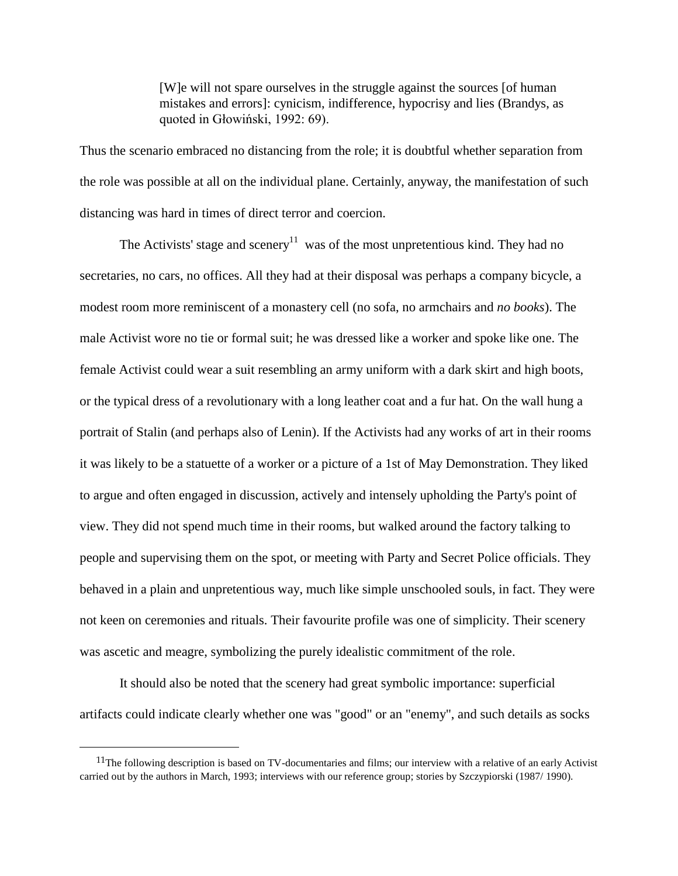[W]e will not spare ourselves in the struggle against the sources [of human mistakes and errors]: cynicism, indifference, hypocrisy and lies (Brandys, as quoted in Głowiński, 1992: 69).

Thus the scenario embraced no distancing from the role; it is doubtful whether separation from the role was possible at all on the individual plane. Certainly, anyway, the manifestation of such distancing was hard in times of direct terror and coercion.

The Activists' stage and scenery<sup>11</sup> was of the most unpretentious kind. They had no secretaries, no cars, no offices. All they had at their disposal was perhaps a company bicycle, a modest room more reminiscent of a monastery cell (no sofa, no armchairs and *no books*). The male Activist wore no tie or formal suit; he was dressed like a worker and spoke like one. The female Activist could wear a suit resembling an army uniform with a dark skirt and high boots, or the typical dress of a revolutionary with a long leather coat and a fur hat. On the wall hung a portrait of Stalin (and perhaps also of Lenin). If the Activists had any works of art in their rooms it was likely to be a statuette of a worker or a picture of a 1st of May Demonstration. They liked to argue and often engaged in discussion, actively and intensely upholding the Party's point of view. They did not spend much time in their rooms, but walked around the factory talking to people and supervising them on the spot, or meeting with Party and Secret Police officials. They behaved in a plain and unpretentious way, much like simple unschooled souls, in fact. They were not keen on ceremonies and rituals. Their favourite profile was one of simplicity. Their scenery was ascetic and meagre, symbolizing the purely idealistic commitment of the role.

It should also be noted that the scenery had great symbolic importance: superficial artifacts could indicate clearly whether one was "good" or an "enemy", and such details as socks

 $11$ The following description is based on TV-documentaries and films; our interview with a relative of an early Activist carried out by the authors in March, 1993; interviews with our reference group; stories by Szczypiorski (1987/ 1990).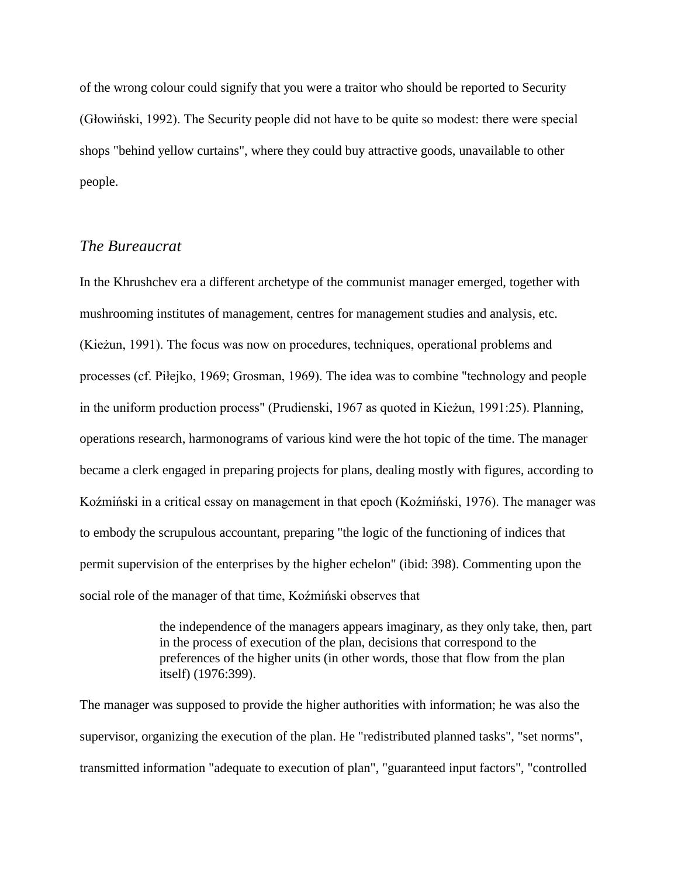of the wrong colour could signify that you were a traitor who should be reported to Security (Głowiński, 1992). The Security people did not have to be quite so modest: there were special shops "behind yellow curtains", where they could buy attractive goods, unavailable to other people.

#### *The Bureaucrat*

In the Khrushchev era a different archetype of the communist manager emerged, together with mushrooming institutes of management, centres for management studies and analysis, etc. (Kieżun, 1991). The focus was now on procedures, techniques, operational problems and processes (cf. Piłejko, 1969; Grosman, 1969). The idea was to combine "technology and people in the uniform production process" (Prudienski, 1967 as quoted in Kieżun, 1991:25). Planning, operations research, harmonograms of various kind were the hot topic of the time. The manager became a clerk engaged in preparing projects for plans, dealing mostly with figures, according to Koźmiński in a critical essay on management in that epoch (Koźmiński, 1976). The manager was to embody the scrupulous accountant, preparing "the logic of the functioning of indices that permit supervision of the enterprises by the higher echelon" (ibid: 398). Commenting upon the social role of the manager of that time, Koźmiński observes that

> the independence of the managers appears imaginary, as they only take, then, part in the process of execution of the plan, decisions that correspond to the preferences of the higher units (in other words, those that flow from the plan itself) (1976:399).

The manager was supposed to provide the higher authorities with information; he was also the supervisor, organizing the execution of the plan. He "redistributed planned tasks", "set norms", transmitted information "adequate to execution of plan", "guaranteed input factors", "controlled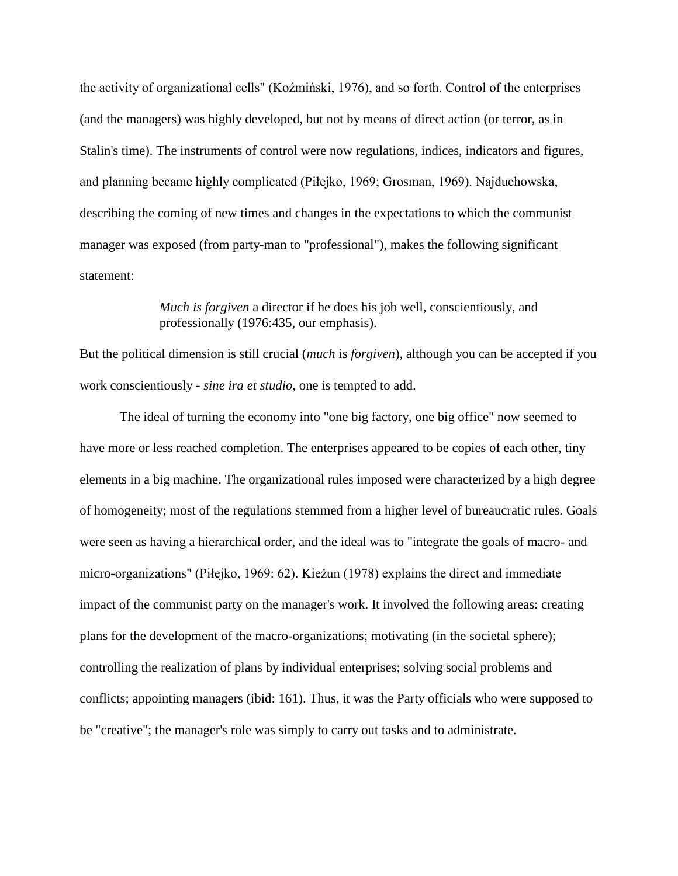the activity of organizational cells" (Koźmiński, 1976), and so forth. Control of the enterprises (and the managers) was highly developed, but not by means of direct action (or terror, as in Stalin's time). The instruments of control were now regulations, indices, indicators and figures, and planning became highly complicated (Piłejko, 1969; Grosman, 1969). Najduchowska, describing the coming of new times and changes in the expectations to which the communist manager was exposed (from party-man to "professional"), makes the following significant statement:

#### *Much is forgiven* a director if he does his job well, conscientiously, and professionally (1976:435, our emphasis).

But the political dimension is still crucial (*much* is *forgiven*), although you can be accepted if you work conscientiously - *sine ira et studio*, one is tempted to add.

The ideal of turning the economy into "one big factory, one big office" now seemed to have more or less reached completion. The enterprises appeared to be copies of each other, tiny elements in a big machine. The organizational rules imposed were characterized by a high degree of homogeneity; most of the regulations stemmed from a higher level of bureaucratic rules. Goals were seen as having a hierarchical order, and the ideal was to "integrate the goals of macro- and micro-organizations" (Piłejko, 1969: 62). Kieżun (1978) explains the direct and immediate impact of the communist party on the manager's work. It involved the following areas: creating plans for the development of the macro-organizations; motivating (in the societal sphere); controlling the realization of plans by individual enterprises; solving social problems and conflicts; appointing managers (ibid: 161). Thus, it was the Party officials who were supposed to be "creative"; the manager's role was simply to carry out tasks and to administrate.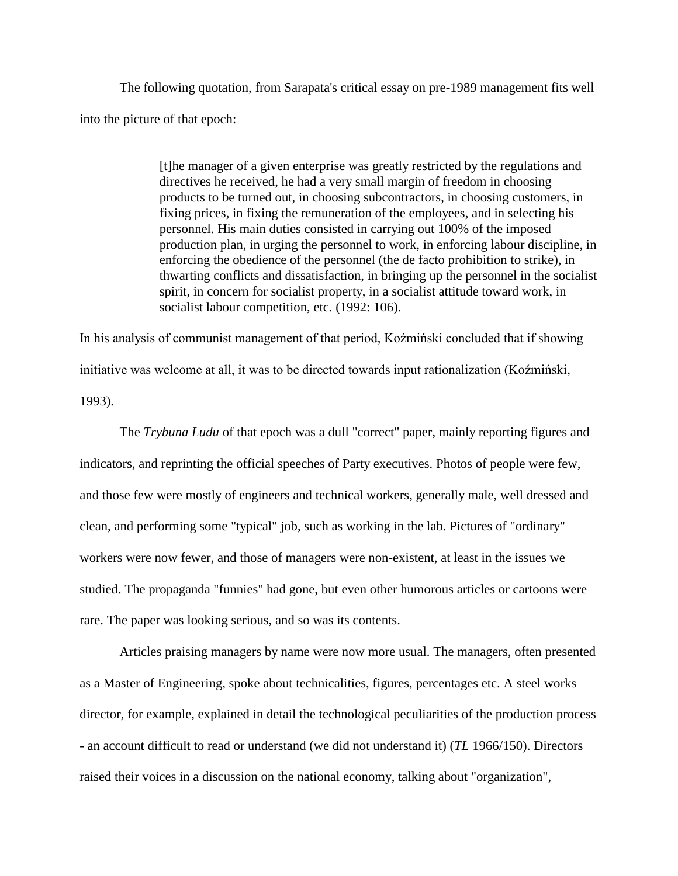The following quotation, from Sarapata's critical essay on pre-1989 management fits well into the picture of that epoch:

> [t]he manager of a given enterprise was greatly restricted by the regulations and directives he received, he had a very small margin of freedom in choosing products to be turned out, in choosing subcontractors, in choosing customers, in fixing prices, in fixing the remuneration of the employees, and in selecting his personnel. His main duties consisted in carrying out 100% of the imposed production plan, in urging the personnel to work, in enforcing labour discipline, in enforcing the obedience of the personnel (the de facto prohibition to strike), in thwarting conflicts and dissatisfaction, in bringing up the personnel in the socialist spirit, in concern for socialist property, in a socialist attitude toward work, in socialist labour competition, etc. (1992: 106).

In his analysis of communist management of that period, Koźmiński concluded that if showing initiative was welcome at all, it was to be directed towards input rationalization (Koźmiński, 1993).

The *Trybuna Ludu* of that epoch was a dull "correct" paper, mainly reporting figures and indicators, and reprinting the official speeches of Party executives. Photos of people were few, and those few were mostly of engineers and technical workers, generally male, well dressed and clean, and performing some "typical" job, such as working in the lab. Pictures of "ordinary" workers were now fewer, and those of managers were non-existent, at least in the issues we studied. The propaganda "funnies" had gone, but even other humorous articles or cartoons were rare. The paper was looking serious, and so was its contents.

Articles praising managers by name were now more usual. The managers, often presented as a Master of Engineering, spoke about technicalities, figures, percentages etc. A steel works director, for example, explained in detail the technological peculiarities of the production process - an account difficult to read or understand (we did not understand it) (*TL* 1966/150). Directors raised their voices in a discussion on the national economy, talking about "organization",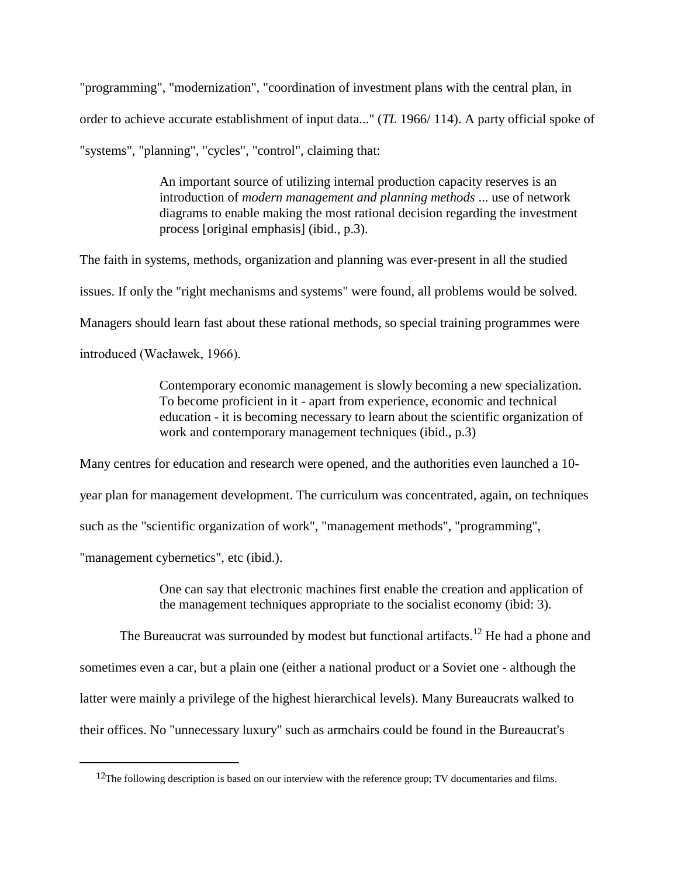"programming", "modernization", "coordination of investment plans with the central plan, in order to achieve accurate establishment of input data..." (*TL* 1966/ 114). A party official spoke of "systems", "planning", "cycles", "control", claiming that:

> An important source of utilizing internal production capacity reserves is an introduction of *modern management and planning methods* ... use of network diagrams to enable making the most rational decision regarding the investment process [original emphasis] (ibid., p.3).

The faith in systems, methods, organization and planning was ever-present in all the studied issues. If only the "right mechanisms and systems" were found, all problems would be solved. Managers should learn fast about these rational methods, so special training programmes were introduced (Wacławek, 1966).

> Contemporary economic management is slowly becoming a new specialization. To become proficient in it - apart from experience, economic and technical education - it is becoming necessary to learn about the scientific organization of work and contemporary management techniques (ibid., p.3)

Many centres for education and research were opened, and the authorities even launched a 10 year plan for management development. The curriculum was concentrated, again, on techniques such as the "scientific organization of work", "management methods", "programming", "management cybernetics", etc (ibid.).

> One can say that electronic machines first enable the creation and application of the management techniques appropriate to the socialist economy (ibid: 3).

The Bureaucrat was surrounded by modest but functional artifacts.<sup>12</sup> He had a phone and sometimes even a car, but a plain one (either a national product or a Soviet one - although the latter were mainly a privilege of the highest hierarchical levels). Many Bureaucrats walked to their offices. No "unnecessary luxury" such as armchairs could be found in the Bureaucrat's

<sup>&</sup>lt;sup>12</sup>The following description is based on our interview with the reference group; TV documentaries and films.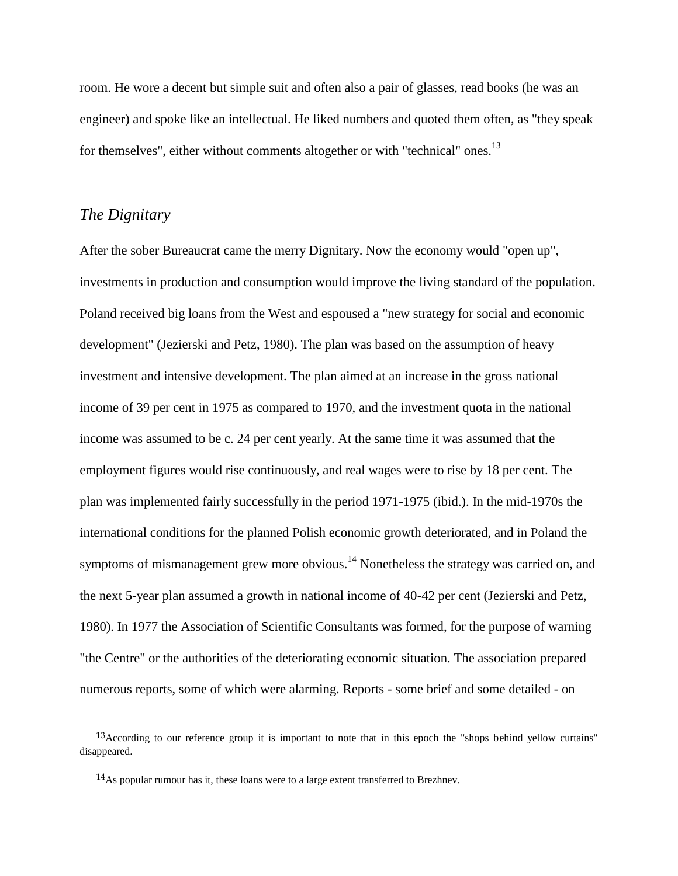room. He wore a decent but simple suit and often also a pair of glasses, read books (he was an engineer) and spoke like an intellectual. He liked numbers and quoted them often, as "they speak for themselves", either without comments altogether or with "technical" ones.<sup>13</sup>

#### *The Dignitary*

 $\overline{a}$ 

After the sober Bureaucrat came the merry Dignitary. Now the economy would "open up", investments in production and consumption would improve the living standard of the population. Poland received big loans from the West and espoused a "new strategy for social and economic development" (Jezierski and Petz, 1980). The plan was based on the assumption of heavy investment and intensive development. The plan aimed at an increase in the gross national income of 39 per cent in 1975 as compared to 1970, and the investment quota in the national income was assumed to be c. 24 per cent yearly. At the same time it was assumed that the employment figures would rise continuously, and real wages were to rise by 18 per cent. The plan was implemented fairly successfully in the period 1971-1975 (ibid.). In the mid-1970s the international conditions for the planned Polish economic growth deteriorated, and in Poland the symptoms of mismanagement grew more obvious.<sup>14</sup> Nonetheless the strategy was carried on, and the next 5-year plan assumed a growth in national income of 40-42 per cent (Jezierski and Petz, 1980). In 1977 the Association of Scientific Consultants was formed, for the purpose of warning "the Centre" or the authorities of the deteriorating economic situation. The association prepared numerous reports, some of which were alarming. Reports - some brief and some detailed - on

<sup>&</sup>lt;sup>13</sup>According to our reference group it is important to note that in this epoch the "shops behind yellow curtains" disappeared.

<sup>14</sup>As popular rumour has it, these loans were to a large extent transferred to Brezhnev.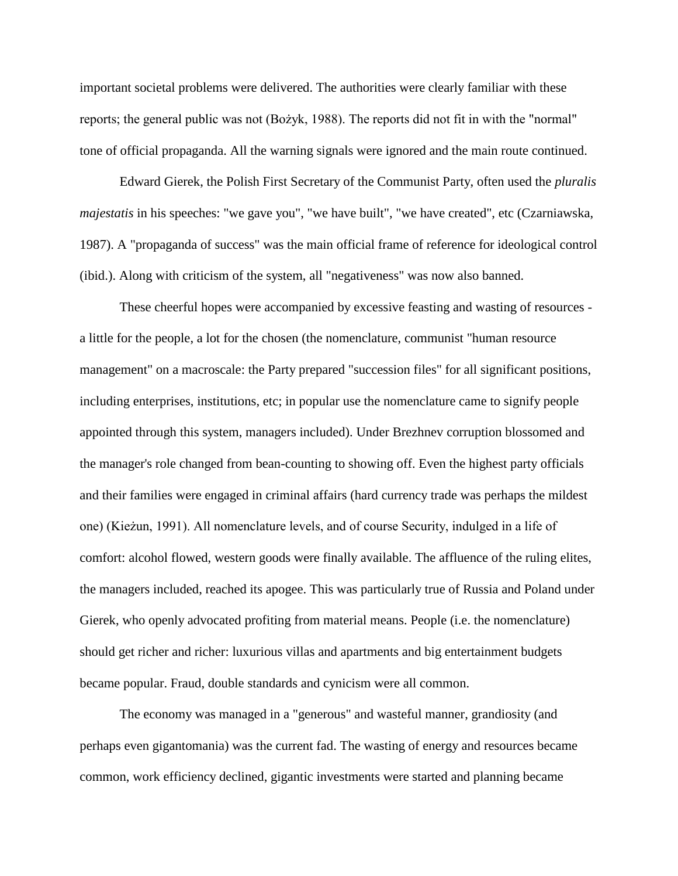important societal problems were delivered. The authorities were clearly familiar with these reports; the general public was not (Bożyk, 1988). The reports did not fit in with the "normal" tone of official propaganda. All the warning signals were ignored and the main route continued.

Edward Gierek, the Polish First Secretary of the Communist Party, often used the *pluralis majestatis* in his speeches: "we gave you", "we have built", "we have created", etc (Czarniawska, 1987). A "propaganda of success" was the main official frame of reference for ideological control (ibid.). Along with criticism of the system, all "negativeness" was now also banned.

These cheerful hopes were accompanied by excessive feasting and wasting of resources a little for the people, a lot for the chosen (the nomenclature, communist "human resource management" on a macroscale: the Party prepared "succession files" for all significant positions, including enterprises, institutions, etc; in popular use the nomenclature came to signify people appointed through this system, managers included). Under Brezhnev corruption blossomed and the manager's role changed from bean-counting to showing off. Even the highest party officials and their families were engaged in criminal affairs (hard currency trade was perhaps the mildest one) (Kieżun, 1991). All nomenclature levels, and of course Security, indulged in a life of comfort: alcohol flowed, western goods were finally available. The affluence of the ruling elites, the managers included, reached its apogee. This was particularly true of Russia and Poland under Gierek, who openly advocated profiting from material means. People (i.e. the nomenclature) should get richer and richer: luxurious villas and apartments and big entertainment budgets became popular. Fraud, double standards and cynicism were all common.

The economy was managed in a "generous" and wasteful manner, grandiosity (and perhaps even gigantomania) was the current fad. The wasting of energy and resources became common, work efficiency declined, gigantic investments were started and planning became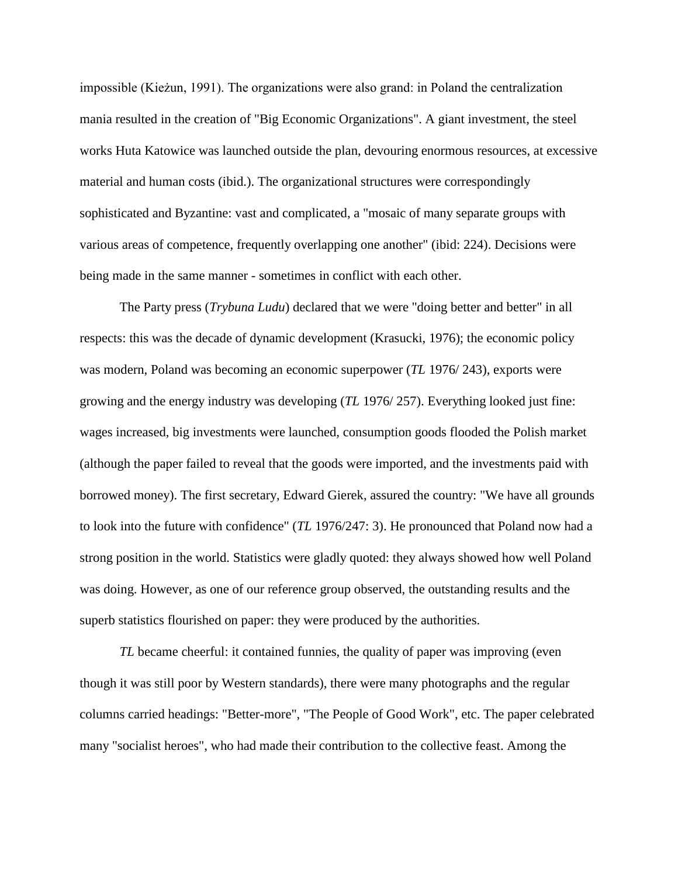impossible (Kieżun, 1991). The organizations were also grand: in Poland the centralization mania resulted in the creation of "Big Economic Organizations". A giant investment, the steel works Huta Katowice was launched outside the plan, devouring enormous resources, at excessive material and human costs (ibid.). The organizational structures were correspondingly sophisticated and Byzantine: vast and complicated, a "mosaic of many separate groups with various areas of competence, frequently overlapping one another" (ibid: 224). Decisions were being made in the same manner - sometimes in conflict with each other.

The Party press (*Trybuna Ludu*) declared that we were "doing better and better" in all respects: this was the decade of dynamic development (Krasucki, 1976); the economic policy was modern, Poland was becoming an economic superpower (*TL* 1976/ 243), exports were growing and the energy industry was developing (*TL* 1976/ 257). Everything looked just fine: wages increased, big investments were launched, consumption goods flooded the Polish market (although the paper failed to reveal that the goods were imported, and the investments paid with borrowed money). The first secretary, Edward Gierek, assured the country: "We have all grounds to look into the future with confidence" (*TL* 1976/247: 3). He pronounced that Poland now had a strong position in the world. Statistics were gladly quoted: they always showed how well Poland was doing. However, as one of our reference group observed, the outstanding results and the superb statistics flourished on paper: they were produced by the authorities.

*TL* became cheerful: it contained funnies, the quality of paper was improving (even though it was still poor by Western standards), there were many photographs and the regular columns carried headings: "Better-more", "The People of Good Work", etc. The paper celebrated many "socialist heroes", who had made their contribution to the collective feast. Among the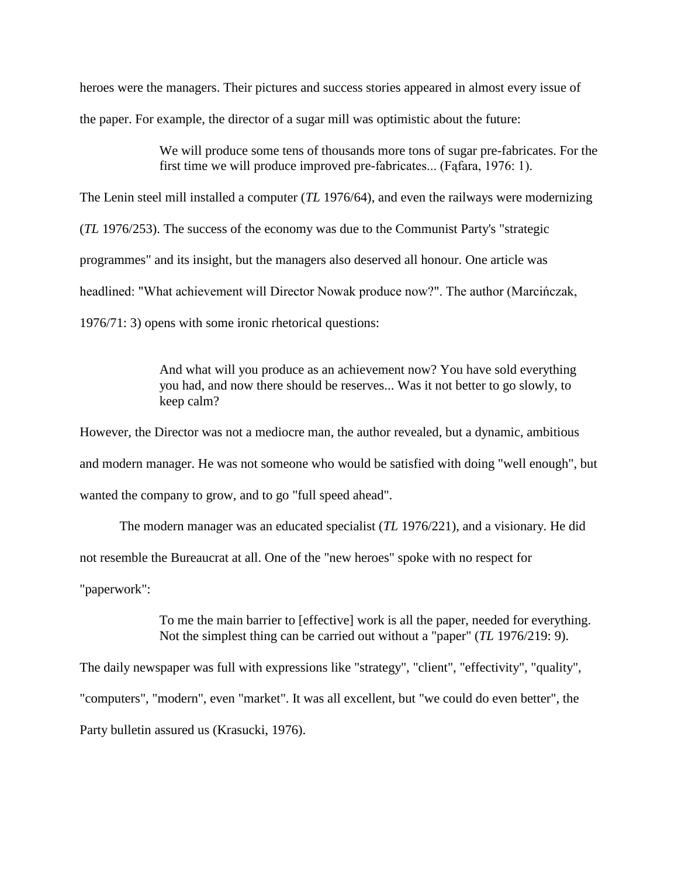heroes were the managers. Their pictures and success stories appeared in almost every issue of the paper. For example, the director of a sugar mill was optimistic about the future:

> We will produce some tens of thousands more tons of sugar pre-fabricates. For the first time we will produce improved pre-fabricates... (Fąfara, 1976: 1).

The Lenin steel mill installed a computer (*TL* 1976/64), and even the railways were modernizing (*TL* 1976/253). The success of the economy was due to the Communist Party's "strategic programmes" and its insight, but the managers also deserved all honour. One article was headlined: "What achievement will Director Nowak produce now?". The author (Marcińczak, 1976/71: 3) opens with some ironic rhetorical questions:

> And what will you produce as an achievement now? You have sold everything you had, and now there should be reserves... Was it not better to go slowly, to keep calm?

However, the Director was not a mediocre man, the author revealed, but a dynamic, ambitious and modern manager. He was not someone who would be satisfied with doing "well enough", but wanted the company to grow, and to go "full speed ahead".

The modern manager was an educated specialist (*TL* 1976/221), and a visionary. He did not resemble the Bureaucrat at all. One of the "new heroes" spoke with no respect for "paperwork":

> To me the main barrier to [effective] work is all the paper, needed for everything. Not the simplest thing can be carried out without a "paper" (*TL* 1976/219: 9).

The daily newspaper was full with expressions like "strategy", "client", "effectivity", "quality", "computers", "modern", even "market". It was all excellent, but "we could do even better", the Party bulletin assured us (Krasucki, 1976).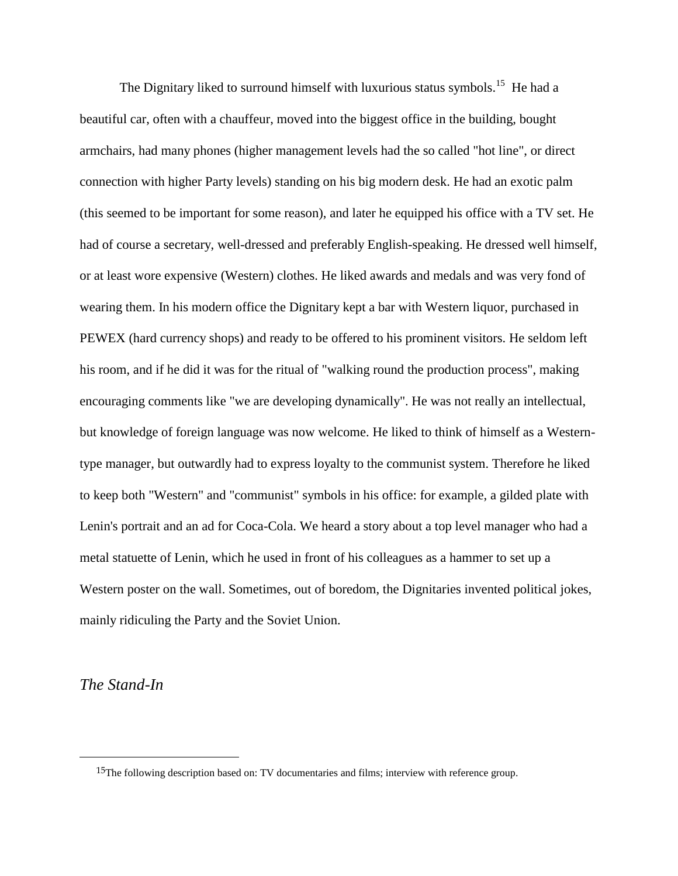The Dignitary liked to surround himself with luxurious status symbols.<sup>15</sup> He had a beautiful car, often with a chauffeur, moved into the biggest office in the building, bought armchairs, had many phones (higher management levels had the so called "hot line", or direct connection with higher Party levels) standing on his big modern desk. He had an exotic palm (this seemed to be important for some reason), and later he equipped his office with a TV set. He had of course a secretary, well-dressed and preferably English-speaking. He dressed well himself, or at least wore expensive (Western) clothes. He liked awards and medals and was very fond of wearing them. In his modern office the Dignitary kept a bar with Western liquor, purchased in PEWEX (hard currency shops) and ready to be offered to his prominent visitors. He seldom left his room, and if he did it was for the ritual of "walking round the production process", making encouraging comments like "we are developing dynamically". He was not really an intellectual, but knowledge of foreign language was now welcome. He liked to think of himself as a Westerntype manager, but outwardly had to express loyalty to the communist system. Therefore he liked to keep both "Western" and "communist" symbols in his office: for example, a gilded plate with Lenin's portrait and an ad for Coca-Cola. We heard a story about a top level manager who had a metal statuette of Lenin, which he used in front of his colleagues as a hammer to set up a Western poster on the wall. Sometimes, out of boredom, the Dignitaries invented political jokes, mainly ridiculing the Party and the Soviet Union.

#### *The Stand-In*

<sup>15</sup>The following description based on: TV documentaries and films; interview with reference group.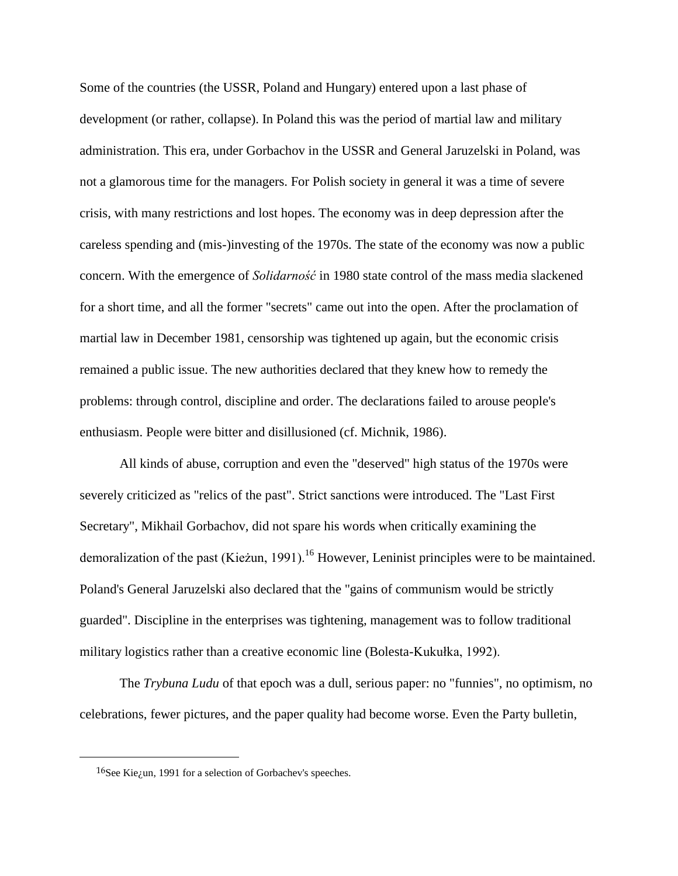Some of the countries (the USSR, Poland and Hungary) entered upon a last phase of development (or rather, collapse). In Poland this was the period of martial law and military administration. This era, under Gorbachov in the USSR and General Jaruzelski in Poland, was not a glamorous time for the managers. For Polish society in general it was a time of severe crisis, with many restrictions and lost hopes. The economy was in deep depression after the careless spending and (mis-)investing of the 1970s. The state of the economy was now a public concern. With the emergence of *Solidarność* in 1980 state control of the mass media slackened for a short time, and all the former "secrets" came out into the open. After the proclamation of martial law in December 1981, censorship was tightened up again, but the economic crisis remained a public issue. The new authorities declared that they knew how to remedy the problems: through control, discipline and order. The declarations failed to arouse people's enthusiasm. People were bitter and disillusioned (cf. Michnik, 1986).

All kinds of abuse, corruption and even the "deserved" high status of the 1970s were severely criticized as "relics of the past". Strict sanctions were introduced. The "Last First Secretary", Mikhail Gorbachov, did not spare his words when critically examining the demoralization of the past (Kieżun, 1991).<sup>16</sup> However, Leninist principles were to be maintained. Poland's General Jaruzelski also declared that the "gains of communism would be strictly guarded". Discipline in the enterprises was tightening, management was to follow traditional military logistics rather than a creative economic line (Bolesta-Kukułka, 1992).

The *Trybuna Ludu* of that epoch was a dull, serious paper: no "funnies", no optimism, no celebrations, fewer pictures, and the paper quality had become worse. Even the Party bulletin,

<sup>16</sup>See Kie¿un, 1991 for a selection of Gorbachev's speeches.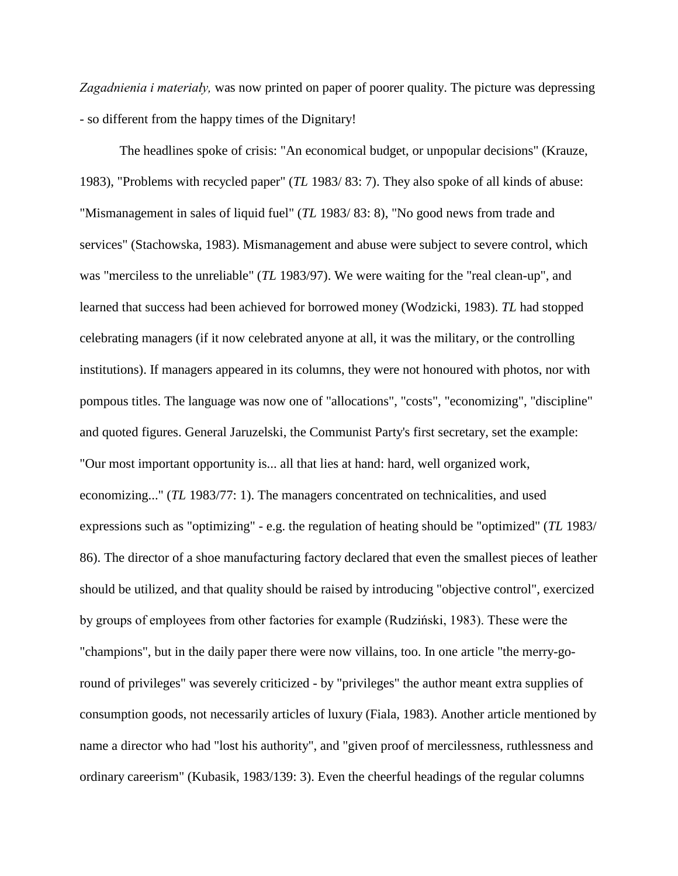*Zagadnienia i materiały,* was now printed on paper of poorer quality. The picture was depressing - so different from the happy times of the Dignitary!

The headlines spoke of crisis: "An economical budget, or unpopular decisions" (Krauze, 1983), "Problems with recycled paper" (*TL* 1983/ 83: 7). They also spoke of all kinds of abuse: "Mismanagement in sales of liquid fuel" (*TL* 1983/ 83: 8), "No good news from trade and services" (Stachowska, 1983). Mismanagement and abuse were subject to severe control, which was "merciless to the unreliable" (*TL* 1983/97). We were waiting for the "real clean-up", and learned that success had been achieved for borrowed money (Wodzicki, 1983). *TL* had stopped celebrating managers (if it now celebrated anyone at all, it was the military, or the controlling institutions). If managers appeared in its columns, they were not honoured with photos, nor with pompous titles. The language was now one of "allocations", "costs", "economizing", "discipline" and quoted figures. General Jaruzelski, the Communist Party's first secretary, set the example: "Our most important opportunity is... all that lies at hand: hard, well organized work, economizing..." (*TL* 1983/77: 1). The managers concentrated on technicalities, and used expressions such as "optimizing" - e.g. the regulation of heating should be "optimized" (*TL* 1983/ 86). The director of a shoe manufacturing factory declared that even the smallest pieces of leather should be utilized, and that quality should be raised by introducing "objective control", exercized by groups of employees from other factories for example (Rudziński, 1983). These were the "champions", but in the daily paper there were now villains, too. In one article "the merry-goround of privileges" was severely criticized - by "privileges" the author meant extra supplies of consumption goods, not necessarily articles of luxury (Fiala, 1983). Another article mentioned by name a director who had "lost his authority", and "given proof of mercilessness, ruthlessness and ordinary careerism" (Kubasik, 1983/139: 3). Even the cheerful headings of the regular columns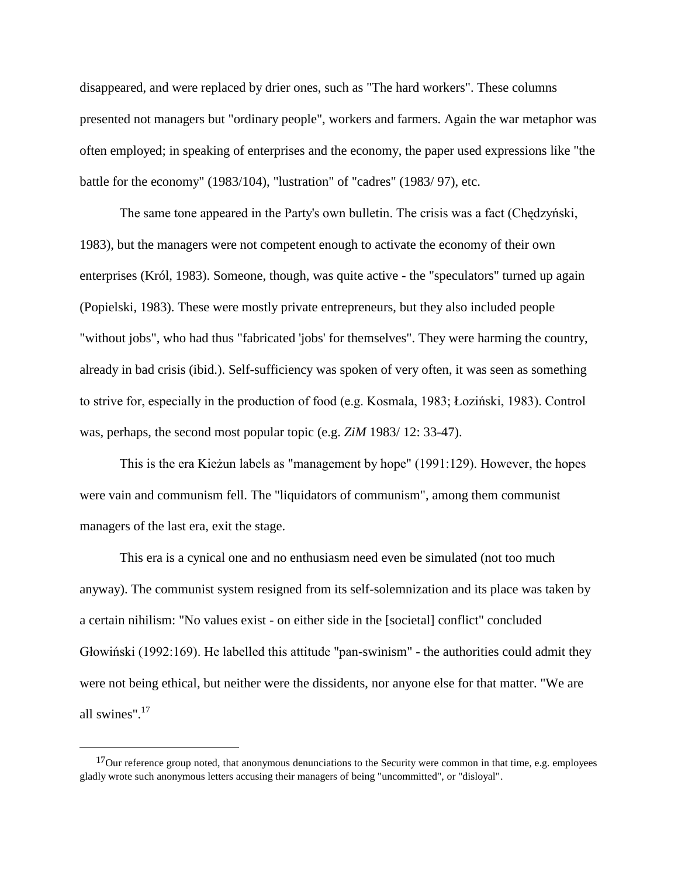disappeared, and were replaced by drier ones, such as "The hard workers". These columns presented not managers but "ordinary people", workers and farmers. Again the war metaphor was often employed; in speaking of enterprises and the economy, the paper used expressions like "the battle for the economy" (1983/104), "lustration" of "cadres" (1983/ 97), etc.

The same tone appeared in the Party's own bulletin. The crisis was a fact (Chędzyński, 1983), but the managers were not competent enough to activate the economy of their own enterprises (Król, 1983). Someone, though, was quite active - the "speculators" turned up again (Popielski, 1983). These were mostly private entrepreneurs, but they also included people "without jobs", who had thus "fabricated 'jobs' for themselves". They were harming the country, already in bad crisis (ibid.). Self-sufficiency was spoken of very often, it was seen as something to strive for, especially in the production of food (e.g. Kosmala, 1983; Łoziński, 1983). Control was, perhaps, the second most popular topic (e.g. *ZiM* 1983/ 12: 33-47).

This is the era Kieżun labels as "management by hope" (1991:129). However, the hopes were vain and communism fell. The "liquidators of communism", among them communist managers of the last era, exit the stage.

This era is a cynical one and no enthusiasm need even be simulated (not too much anyway). The communist system resigned from its self-solemnization and its place was taken by a certain nihilism: "No values exist - on either side in the [societal] conflict" concluded Głowiński (1992:169). He labelled this attitude "pan-swinism" - the authorities could admit they were not being ethical, but neither were the dissidents, nor anyone else for that matter. "We are all swines".<sup>17</sup>

 $17$ Our reference group noted, that anonymous denunciations to the Security were common in that time, e.g. employees gladly wrote such anonymous letters accusing their managers of being "uncommitted", or "disloyal".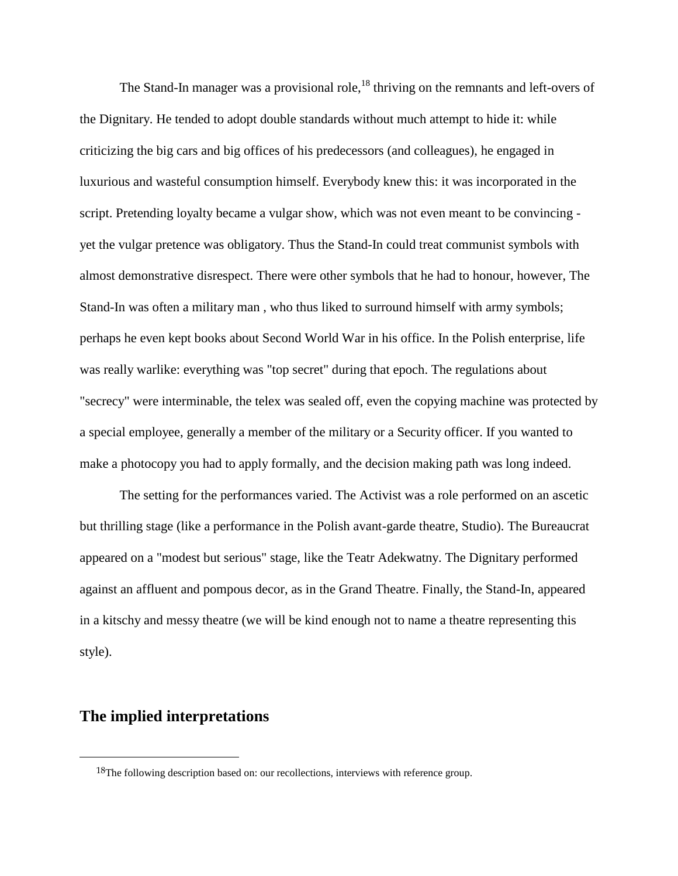The Stand-In manager was a provisional role,<sup>18</sup> thriving on the remnants and left-overs of the Dignitary. He tended to adopt double standards without much attempt to hide it: while criticizing the big cars and big offices of his predecessors (and colleagues), he engaged in luxurious and wasteful consumption himself. Everybody knew this: it was incorporated in the script. Pretending loyalty became a vulgar show, which was not even meant to be convincing yet the vulgar pretence was obligatory. Thus the Stand-In could treat communist symbols with almost demonstrative disrespect. There were other symbols that he had to honour, however, The Stand-In was often a military man , who thus liked to surround himself with army symbols; perhaps he even kept books about Second World War in his office. In the Polish enterprise, life was really warlike: everything was "top secret" during that epoch. The regulations about "secrecy" were interminable, the telex was sealed off, even the copying machine was protected by a special employee, generally a member of the military or a Security officer. If you wanted to make a photocopy you had to apply formally, and the decision making path was long indeed.

The setting for the performances varied. The Activist was a role performed on an ascetic but thrilling stage (like a performance in the Polish avant-garde theatre, Studio). The Bureaucrat appeared on a "modest but serious" stage, like the Teatr Adekwatny. The Dignitary performed against an affluent and pompous decor, as in the Grand Theatre. Finally, the Stand-In, appeared in a kitschy and messy theatre (we will be kind enough not to name a theatre representing this style).

#### **The implied interpretations**

<sup>&</sup>lt;sup>18</sup>The following description based on: our recollections, interviews with reference group.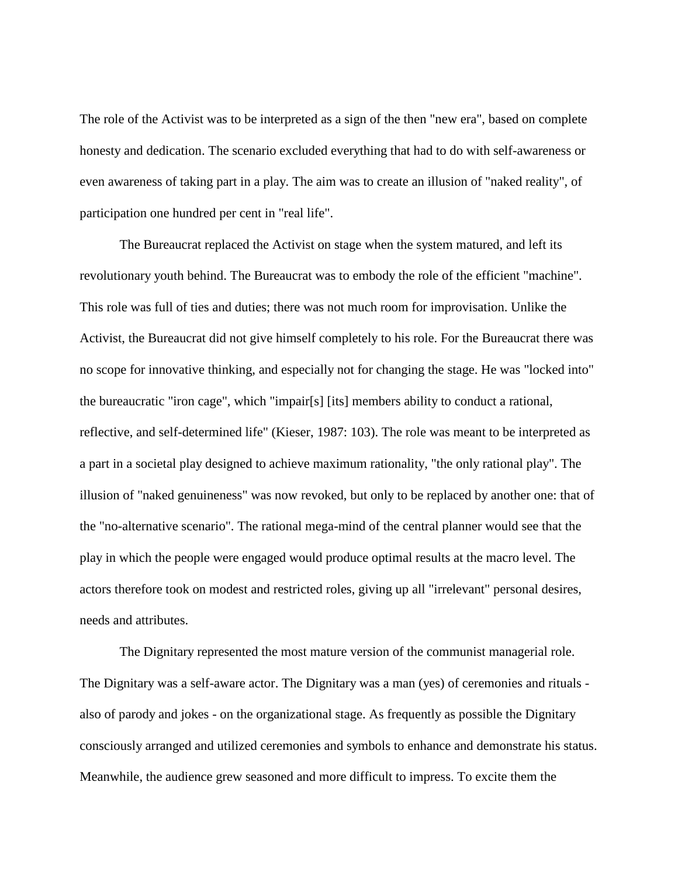The role of the Activist was to be interpreted as a sign of the then "new era", based on complete honesty and dedication. The scenario excluded everything that had to do with self-awareness or even awareness of taking part in a play. The aim was to create an illusion of "naked reality", of participation one hundred per cent in "real life".

The Bureaucrat replaced the Activist on stage when the system matured, and left its revolutionary youth behind. The Bureaucrat was to embody the role of the efficient "machine". This role was full of ties and duties; there was not much room for improvisation. Unlike the Activist, the Bureaucrat did not give himself completely to his role. For the Bureaucrat there was no scope for innovative thinking, and especially not for changing the stage. He was "locked into" the bureaucratic "iron cage", which "impair[s] [its] members ability to conduct a rational, reflective, and self-determined life" (Kieser, 1987: 103). The role was meant to be interpreted as a part in a societal play designed to achieve maximum rationality, "the only rational play". The illusion of "naked genuineness" was now revoked, but only to be replaced by another one: that of the "no-alternative scenario". The rational mega-mind of the central planner would see that the play in which the people were engaged would produce optimal results at the macro level. The actors therefore took on modest and restricted roles, giving up all "irrelevant" personal desires, needs and attributes.

The Dignitary represented the most mature version of the communist managerial role. The Dignitary was a self-aware actor. The Dignitary was a man (yes) of ceremonies and rituals also of parody and jokes - on the organizational stage. As frequently as possible the Dignitary consciously arranged and utilized ceremonies and symbols to enhance and demonstrate his status. Meanwhile, the audience grew seasoned and more difficult to impress. To excite them the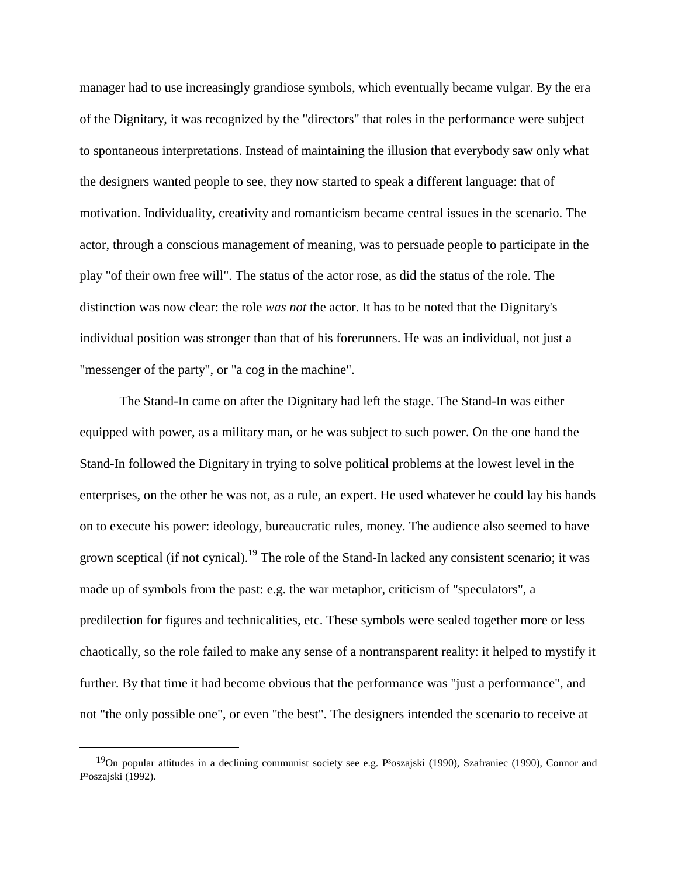manager had to use increasingly grandiose symbols, which eventually became vulgar. By the era of the Dignitary, it was recognized by the "directors" that roles in the performance were subject to spontaneous interpretations. Instead of maintaining the illusion that everybody saw only what the designers wanted people to see, they now started to speak a different language: that of motivation. Individuality, creativity and romanticism became central issues in the scenario. The actor, through a conscious management of meaning, was to persuade people to participate in the play "of their own free will". The status of the actor rose, as did the status of the role. The distinction was now clear: the role *was not* the actor. It has to be noted that the Dignitary's individual position was stronger than that of his forerunners. He was an individual, not just a "messenger of the party", or "a cog in the machine".

The Stand-In came on after the Dignitary had left the stage. The Stand-In was either equipped with power, as a military man, or he was subject to such power. On the one hand the Stand-In followed the Dignitary in trying to solve political problems at the lowest level in the enterprises, on the other he was not, as a rule, an expert. He used whatever he could lay his hands on to execute his power: ideology, bureaucratic rules, money. The audience also seemed to have grown sceptical (if not cynical).<sup>19</sup> The role of the Stand-In lacked any consistent scenario; it was made up of symbols from the past: e.g. the war metaphor, criticism of "speculators", a predilection for figures and technicalities, etc. These symbols were sealed together more or less chaotically, so the role failed to make any sense of a nontransparent reality: it helped to mystify it further. By that time it had become obvious that the performance was "just a performance", and not "the only possible one", or even "the best". The designers intended the scenario to receive at

<sup>&</sup>lt;sup>19</sup>On popular attitudes in a declining communist society see e.g. P<sup>3</sup>oszajski (1990), Szafraniec (1990), Connor and P³oszajski (1992).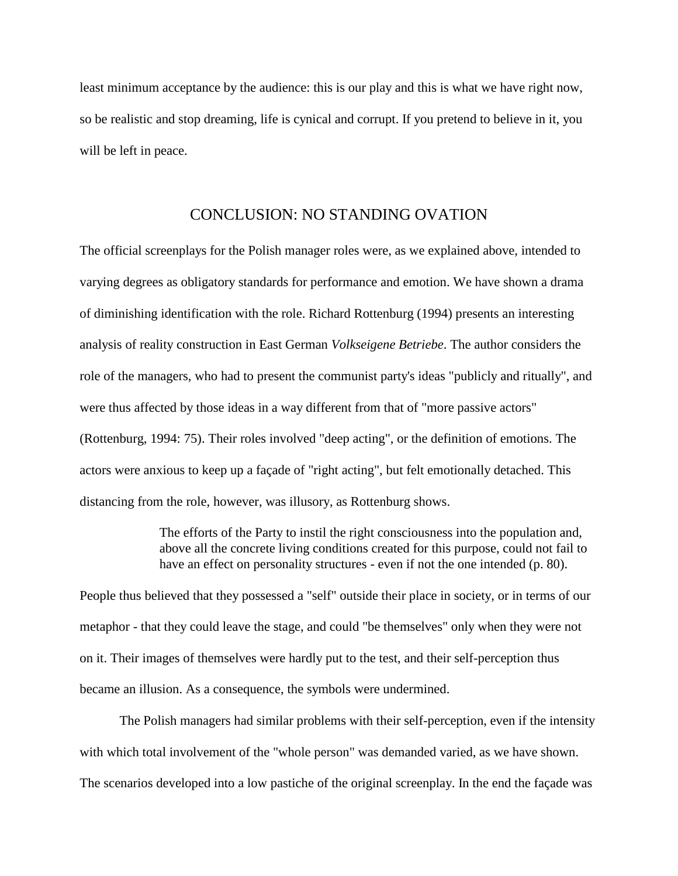least minimum acceptance by the audience: this is our play and this is what we have right now, so be realistic and stop dreaming, life is cynical and corrupt. If you pretend to believe in it, you will be left in peace.

#### CONCLUSION: NO STANDING OVATION

The official screenplays for the Polish manager roles were, as we explained above, intended to varying degrees as obligatory standards for performance and emotion. We have shown a drama of diminishing identification with the role. Richard Rottenburg (1994) presents an interesting analysis of reality construction in East German *Volkseigene Betriebe*. The author considers the role of the managers, who had to present the communist party's ideas "publicly and ritually", and were thus affected by those ideas in a way different from that of "more passive actors" (Rottenburg, 1994: 75). Their roles involved "deep acting", or the definition of emotions. The actors were anxious to keep up a façade of "right acting", but felt emotionally detached. This distancing from the role, however, was illusory, as Rottenburg shows.

> The efforts of the Party to instil the right consciousness into the population and, above all the concrete living conditions created for this purpose, could not fail to have an effect on personality structures - even if not the one intended (p. 80).

People thus believed that they possessed a "self" outside their place in society, or in terms of our metaphor - that they could leave the stage, and could "be themselves" only when they were not on it. Their images of themselves were hardly put to the test, and their self-perception thus became an illusion. As a consequence, the symbols were undermined.

The Polish managers had similar problems with their self-perception, even if the intensity with which total involvement of the "whole person" was demanded varied, as we have shown. The scenarios developed into a low pastiche of the original screenplay. In the end the façade was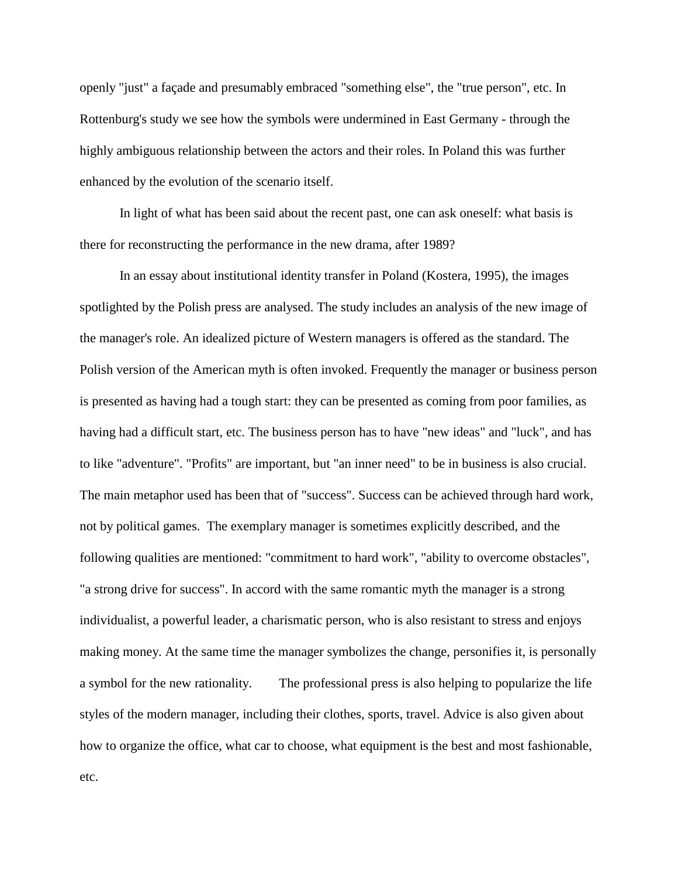openly "just" a façade and presumably embraced "something else", the "true person", etc. In Rottenburg's study we see how the symbols were undermined in East Germany - through the highly ambiguous relationship between the actors and their roles. In Poland this was further enhanced by the evolution of the scenario itself.

In light of what has been said about the recent past, one can ask oneself: what basis is there for reconstructing the performance in the new drama, after 1989?

In an essay about institutional identity transfer in Poland (Kostera, 1995), the images spotlighted by the Polish press are analysed. The study includes an analysis of the new image of the manager's role. An idealized picture of Western managers is offered as the standard. The Polish version of the American myth is often invoked. Frequently the manager or business person is presented as having had a tough start: they can be presented as coming from poor families, as having had a difficult start, etc. The business person has to have "new ideas" and "luck", and has to like "adventure". "Profits" are important, but "an inner need" to be in business is also crucial. The main metaphor used has been that of "success". Success can be achieved through hard work, not by political games. The exemplary manager is sometimes explicitly described, and the following qualities are mentioned: "commitment to hard work", "ability to overcome obstacles", "a strong drive for success". In accord with the same romantic myth the manager is a strong individualist, a powerful leader, a charismatic person, who is also resistant to stress and enjoys making money. At the same time the manager symbolizes the change, personifies it, is personally a symbol for the new rationality. The professional press is also helping to popularize the life styles of the modern manager, including their clothes, sports, travel. Advice is also given about how to organize the office, what car to choose, what equipment is the best and most fashionable, etc.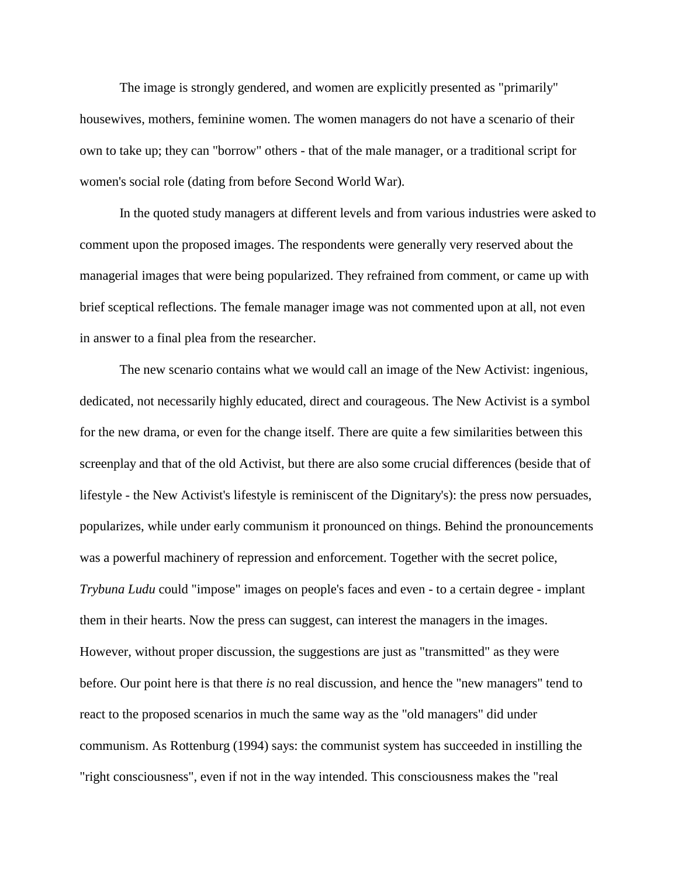The image is strongly gendered, and women are explicitly presented as "primarily" housewives, mothers, feminine women. The women managers do not have a scenario of their own to take up; they can "borrow" others - that of the male manager, or a traditional script for women's social role (dating from before Second World War).

In the quoted study managers at different levels and from various industries were asked to comment upon the proposed images. The respondents were generally very reserved about the managerial images that were being popularized. They refrained from comment, or came up with brief sceptical reflections. The female manager image was not commented upon at all, not even in answer to a final plea from the researcher.

The new scenario contains what we would call an image of the New Activist: ingenious, dedicated, not necessarily highly educated, direct and courageous. The New Activist is a symbol for the new drama, or even for the change itself. There are quite a few similarities between this screenplay and that of the old Activist, but there are also some crucial differences (beside that of lifestyle - the New Activist's lifestyle is reminiscent of the Dignitary's): the press now persuades, popularizes, while under early communism it pronounced on things. Behind the pronouncements was a powerful machinery of repression and enforcement. Together with the secret police, *Trybuna Ludu* could "impose" images on people's faces and even - to a certain degree - implant them in their hearts. Now the press can suggest, can interest the managers in the images. However, without proper discussion, the suggestions are just as "transmitted" as they were before. Our point here is that there *is* no real discussion, and hence the "new managers" tend to react to the proposed scenarios in much the same way as the "old managers" did under communism. As Rottenburg (1994) says: the communist system has succeeded in instilling the "right consciousness", even if not in the way intended. This consciousness makes the "real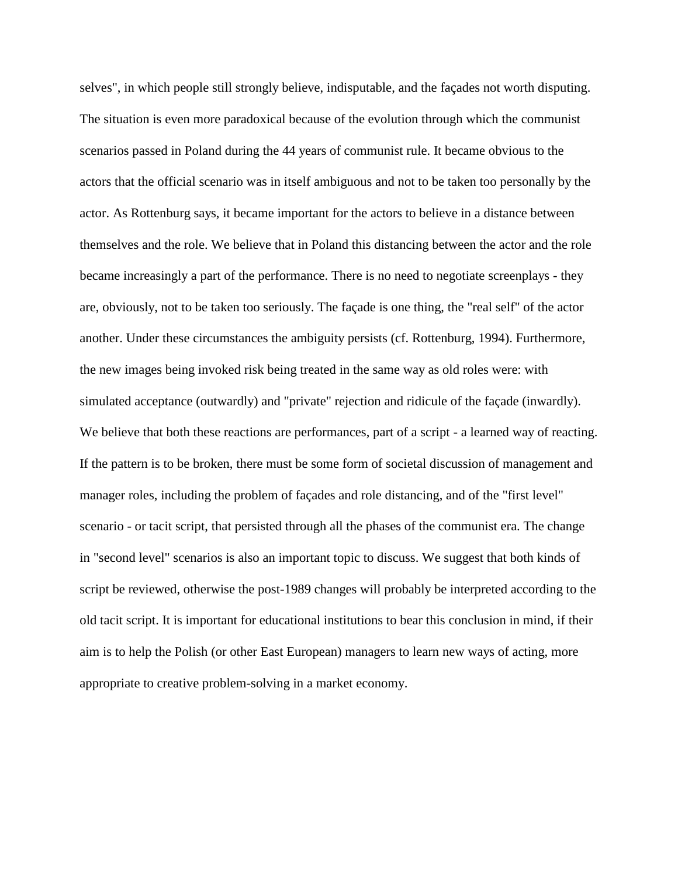selves", in which people still strongly believe, indisputable, and the façades not worth disputing. The situation is even more paradoxical because of the evolution through which the communist scenarios passed in Poland during the 44 years of communist rule. It became obvious to the actors that the official scenario was in itself ambiguous and not to be taken too personally by the actor. As Rottenburg says, it became important for the actors to believe in a distance between themselves and the role. We believe that in Poland this distancing between the actor and the role became increasingly a part of the performance. There is no need to negotiate screenplays - they are, obviously, not to be taken too seriously. The façade is one thing, the "real self" of the actor another. Under these circumstances the ambiguity persists (cf. Rottenburg, 1994). Furthermore, the new images being invoked risk being treated in the same way as old roles were: with simulated acceptance (outwardly) and "private" rejection and ridicule of the façade (inwardly). We believe that both these reactions are performances, part of a script - a learned way of reacting. If the pattern is to be broken, there must be some form of societal discussion of management and manager roles, including the problem of façades and role distancing, and of the "first level" scenario - or tacit script, that persisted through all the phases of the communist era. The change in "second level" scenarios is also an important topic to discuss. We suggest that both kinds of script be reviewed, otherwise the post-1989 changes will probably be interpreted according to the old tacit script. It is important for educational institutions to bear this conclusion in mind, if their aim is to help the Polish (or other East European) managers to learn new ways of acting, more appropriate to creative problem-solving in a market economy.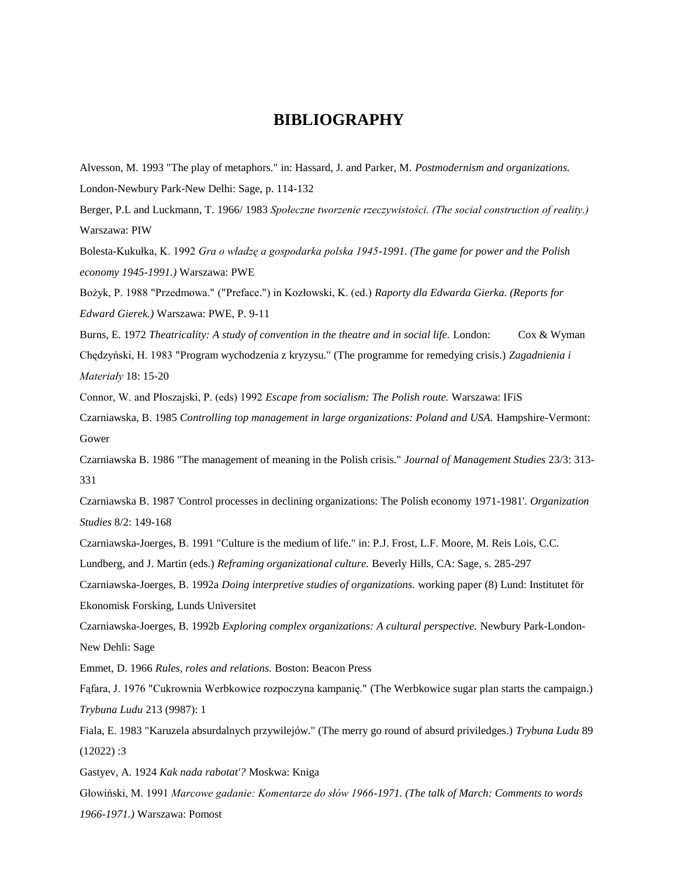#### **BIBLIOGRAPHY**

Alvesson, M. 1993 "The play of metaphors." in: Hassard, J. and Parker, M. *Postmodernism and organizations.* London-Newbury Park-New Delhi: Sage, p. 114-132 Berger, P.L and Luckmann, T. 1966/ 1983 *Społeczne tworzenie rzeczywistości. (The social construction of reality.)*  Warszawa: PIW Bolesta-Kukułka, K. 1992 *Gra o władzę a gospodarka polska 1945-1991. (The game for power and the Polish economy 1945-1991.)* Warszawa: PWE Bożyk, P. 1988 "Przedmowa." ("Preface.") in Kozłowski, K. (ed.) *Raporty dla Edwarda Gierka. (Reports for Edward Gierek.)* Warszawa: PWE, P. 9-11 Burns, E. 1972 *Theatricality: A study of convention in the theatre and in social life.* London: Cox & Wyman Chędzyński, H. 1983 "Program wychodzenia z kryzysu." (The programme for remedying crisis.) *Zagadnienia i Materiały* 18: 15-20 Connor, W. and Płoszajski, P. (eds) 1992 *Escape from socialism: The Polish route.* Warszawa: IFiS Czarniawska, B. 1985 *Controlling top management in large organizations: Poland and USA.* Hampshire-Vermont: Gower Czarniawska B. 1986 "The management of meaning in the Polish crisis." *Journal of Management Studies* 23/3: 313- 331 Czarniawska B. 1987 'Control processes in declining organizations: The Polish economy 1971-1981'. *Organization Studies* 8/2: 149-168 Czarniawska-Joerges, B. 1991 "Culture is the medium of life." in: P.J. Frost, L.F. Moore, M. Reis Lois, C.C. Lundberg, and J. Martin (eds.) *Reframing organizational culture.* Beverly Hills, CA: Sage, s. 285-297 Czarniawska-Joerges, B. 1992a *Doing interpretive studies of organizations.* working paper (8) Lund: Institutet för Ekonomisk Forsking, Lunds Universitet Czarniawska-Joerges, B. 1992b *Exploring complex organizations: A cultural perspective.* Newbury Park-London-New Dehli: Sage Emmet, D. 1966 *Rules, roles and relations.* Boston: Beacon Press Fąfara, J. 1976 "Cukrownia Werbkowice rozpoczyna kampanię." (The Werbkowice sugar plan starts the campaign.) *Trybuna Ludu* 213 (9987): 1 Fiala, E. 1983 "Karuzela absurdalnych przywilejów." (The merry go round of absurd priviledges.) *Trybuna Ludu* 89  $(12022):3$ Gastyev, A. 1924 *Kak nada rabotat'?* Moskwa: Kniga Głowiński, M. 1991 *Marcowe gadanie: Komentarze do słów 1966-1971. (The talk of March: Comments to words* 

*1966-1971.)* Warszawa: Pomost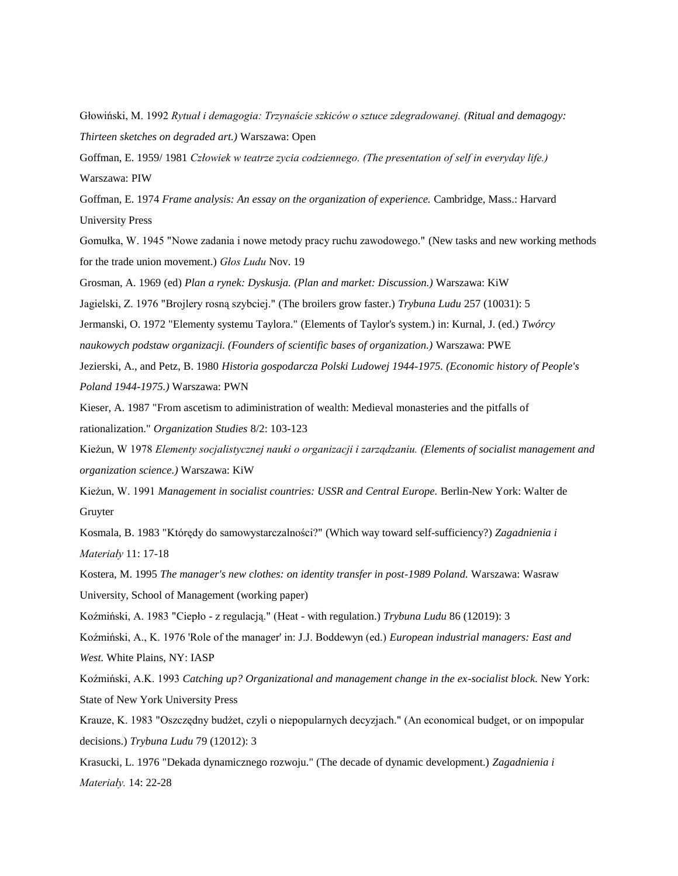Głowiński, M. 1992 *Rytuał i demagogia: Trzynaście szkiców o sztuce zdegradowanej. (Ritual and demagogy: Thirteen sketches on degraded art.)* Warszawa: Open

Goffman, E. 1959/ 1981 *Człowiek w teatrze zycia codziennego. (The presentation of self in everyday life.)* Warszawa: PIW

Goffman, E. 1974 *Frame analysis: An essay on the organization of experience.* Cambridge, Mass.: Harvard University Press

Gomułka, W. 1945 "Nowe zadania i nowe metody pracy ruchu zawodowego." (New tasks and new working methods for the trade union movement.) *Głos Ludu* Nov. 19

Grosman, A. 1969 (ed) *Plan a rynek: Dyskusja. (Plan and market: Discussion.)* Warszawa: KiW

Jagielski, Z. 1976 "Brojlery rosną szybciej." (The broilers grow faster.) *Trybuna Ludu* 257 (10031): 5

Jermanski, O. 1972 "Elementy systemu Taylora." (Elements of Taylor's system.) in: Kurnal, J. (ed.) *Twórcy* 

*naukowych podstaw organizacji. (Founders of scientific bases of organization.)* Warszawa: PWE

Jezierski, A., and Petz, B. 1980 *Historia gospodarcza Polski Ludowej 1944-1975. (Economic history of People's Poland 1944-1975.)* Warszawa: PWN

Kieser, A. 1987 "From ascetism to adiministration of wealth: Medieval monasteries and the pitfalls of rationalization." *Organization Studies* 8/2: 103-123

Kieżun, W 1978 *Elementy socjalistycznej nauki o organizacji i zarządzaniu. (Elements of socialist management and organization science.)* Warszawa: KiW

Kieżun, W. 1991 *Management in socialist countries: USSR and Central Europe.* Berlin-New York: Walter de Gruyter

Kosmala, B. 1983 "Którędy do samowystarczalności?" (Which way toward self-sufficiency?) *Zagadnienia i Materiały* 11: 17-18

Kostera, M. 1995 *The manager's new clothes: on identity transfer in post-1989 Poland.* Warszawa: Wasraw University, School of Management (working paper)

Koźmiński, A. 1983 "Ciepło - z regulacją." (Heat - with regulation.) *Trybuna Ludu* 86 (12019): 3

Koźmiński, A., K. 1976 'Role of the manager' in: J.J. Boddewyn (ed.) *European industrial managers: East and West.* White Plains, NY: IASP

Koźmiński, A.K. 1993 *Catching up? Organizational and management change in the ex-socialist block.* New York: State of New York University Press

Krauze, K. 1983 "Oszczędny budżet, czyli o niepopularnych decyzjach." (An economical budget, or on impopular decisions.) *Trybuna Ludu* 79 (12012): 3

Krasucki, L. 1976 "Dekada dynamicznego rozwoju." (The decade of dynamic development.) *Zagadnienia i Materiały.* 14: 22-28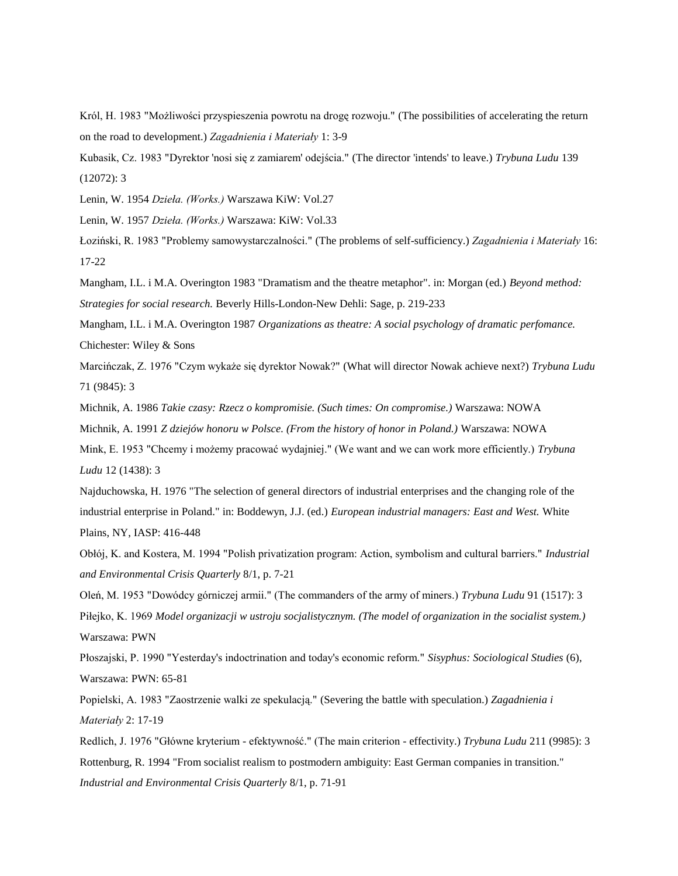Król, H. 1983 "Możliwości przyspieszenia powrotu na drogę rozwoju." (The possibilities of accelerating the return on the road to development.) *Zagadnienia i Materiały* 1: 3-9

Kubasik, Cz. 1983 "Dyrektor 'nosi się z zamiarem' odejścia." (The director 'intends' to leave.) *Trybuna Ludu* 139 (12072): 3

Lenin, W. 1954 *Dzieła. (Works.)* Warszawa KiW: Vol.27

Lenin, W. 1957 *Dzieła. (Works.)* Warszawa: KiW: Vol.33

Łoziński, R. 1983 "Problemy samowystarczalności." (The problems of self-sufficiency.) *Zagadnienia i Materiały* 16: 17-22

Mangham, I.L. i M.A. Overington 1983 "Dramatism and the theatre metaphor". in: Morgan (ed.) *Beyond method: Strategies for social research.* Beverly Hills-London-New Dehli: Sage, p. 219-233

Mangham, I.L. i M.A. Overington 1987 *Organizations as theatre: A social psychology of dramatic perfomance.* Chichester: Wiley & Sons

Marcińczak, Z. 1976 "Czym wykaże się dyrektor Nowak?" (What will director Nowak achieve next?) *Trybuna Ludu*  71 (9845): 3

Michnik, A. 1986 *Takie czasy: Rzecz o kompromisie. (Such times: On compromise.)* Warszawa: NOWA

Michnik, A. 1991 *Z dziejów honoru w Polsce. (From the history of honor in Poland.)* Warszawa: NOWA

Mink, E. 1953 "Chcemy i możemy pracować wydajniej." (We want and we can work more efficiently.) *Trybuna Ludu* 12 (1438): 3

Najduchowska, H. 1976 "The selection of general directors of industrial enterprises and the changing role of the industrial enterprise in Poland." in: Boddewyn, J.J. (ed.) *European industrial managers: East and West.* White Plains, NY, IASP: 416-448

Obłój, K. and Kostera, M. 1994 "Polish privatization program: Action, symbolism and cultural barriers." *Industrial and Environmental Crisis Quarterly* 8/1, p. 7-21

Oleń, M. 1953 "Dowódcy górniczej armii." (The commanders of the army of miners.) *Trybuna Ludu* 91 (1517): 3 Piłejko, K. 1969 *Model organizacji w ustroju socjalistycznym. (The model of organization in the socialist system.)*  Warszawa: PWN

Płoszajski, P. 1990 "Yesterday's indoctrination and today's economic reform." *Sisyphus: Sociological Studies* (6), Warszawa: PWN: 65-81

Popielski, A. 1983 "Zaostrzenie walki ze spekulacją." (Severing the battle with speculation.) *Zagadnienia i Materiały* 2: 17-19

Redlich, J. 1976 "Główne kryterium - efektywność." (The main criterion - effectivity.) *Trybuna Ludu* 211 (9985): 3 Rottenburg, R. 1994 "From socialist realism to postmodern ambiguity: East German companies in transition." *Industrial and Environmental Crisis Quarterly* 8/1, p. 71-91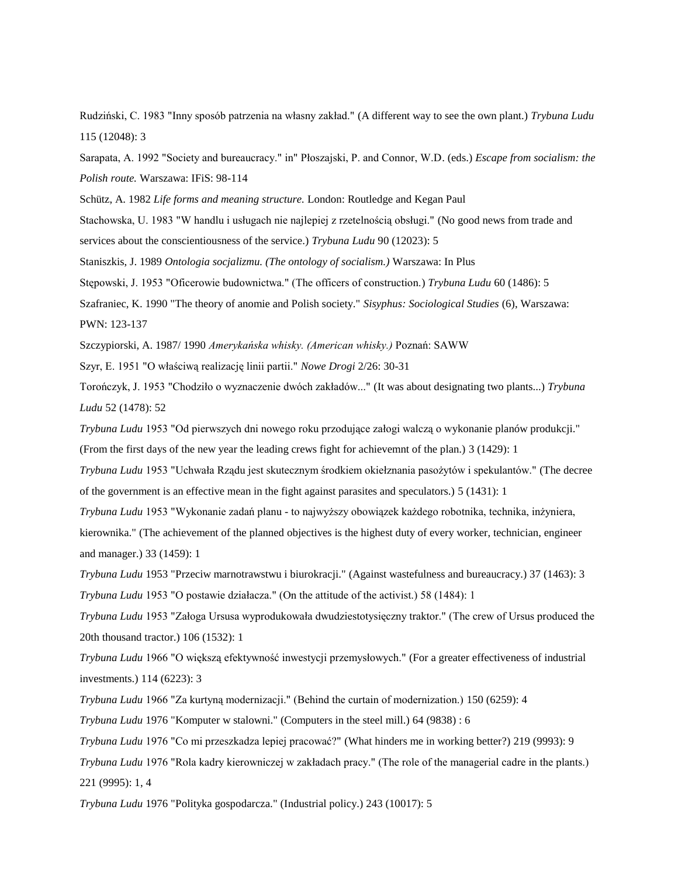Rudziński, C. 1983 "Inny sposób patrzenia na własny zakład." (A different way to see the own plant.) *Trybuna Ludu*  115 (12048): 3

Sarapata, A. 1992 "Society and bureaucracy." in" Płoszajski, P. and Connor, W.D. (eds.) *Escape from socialism: the Polish route.* Warszawa: IFiS: 98-114

Schütz, A. 1982 *Life forms and meaning structure.* London: Routledge and Kegan Paul

Stachowska, U. 1983 "W handlu i usługach nie najlepiej z rzetelnością obsługi." (No good news from trade and services about the conscientiousness of the service.) *Trybuna Ludu* 90 (12023): 5

Staniszkis, J. 1989 *Ontologia socjalizmu. (The ontology of socialism.)* Warszawa: In Plus

Stępowski, J. 1953 "Oficerowie budownictwa." (The officers of construction.) *Trybuna Ludu* 60 (1486): 5

Szafraniec, K. 1990 "The theory of anomie and Polish society." *Sisyphus: Sociological Studies* (6), Warszawa: PWN: 123-137

Szczypiorski, A. 1987/ 1990 *Amerykańska whisky. (American whisky.)* Poznań: SAWW

Szyr, E. 1951 "O właściwą realizację linii partii." *Nowe Drogi* 2/26: 30-31

Torończyk, J. 1953 "Chodziło o wyznaczenie dwóch zakładów..." (It was about designating two plants...) *Trybuna Ludu* 52 (1478): 52

*Trybuna Ludu* 1953 "Od pierwszych dni nowego roku przodujące załogi walczą o wykonanie planów produkcji."

(From the first days of the new year the leading crews fight for achievemnt of the plan.) 3 (1429): 1

*Trybuna Ludu* 1953 "Uchwała Rządu jest skutecznym środkiem okiełznania pasożytów i spekulantów." (The decree of the government is an effective mean in the fight against parasites and speculators.) 5 (1431): 1

*Trybuna Ludu* 1953 "Wykonanie zadań planu - to najwyższy obowiązek każdego robotnika, technika, inżyniera,

kierownika." (The achievement of the planned objectives is the highest duty of every worker, technician, engineer and manager.) 33 (1459): 1

*Trybuna Ludu* 1953 "Przeciw marnotrawstwu i biurokracji." (Against wastefulness and bureaucracy.) 37 (1463): 3 *Trybuna Ludu* 1953 "O postawie działacza." (On the attitude of the activist.) 58 (1484): 1

*Trybuna Ludu* 1953 "Załoga Ursusa wyprodukowała dwudziestotysięczny traktor." (The crew of Ursus produced the 20th thousand tractor.) 106 (1532): 1

*Trybuna Ludu* 1966 "O większą efektywność inwestycji przemysłowych." (For a greater effectiveness of industrial investments.) 114 (6223): 3

*Trybuna Ludu* 1966 "Za kurtyną modernizacji." (Behind the curtain of modernization.) 150 (6259): 4

*Trybuna Ludu* 1976 "Komputer w stalowni." (Computers in the steel mill.) 64 (9838) : 6

*Trybuna Ludu* 1976 "Co mi przeszkadza lepiej pracować?" (What hinders me in working better?) 219 (9993): 9

*Trybuna Ludu* 1976 "Rola kadry kierowniczej w zakładach pracy." (The role of the managerial cadre in the plants.) 221 (9995): 1, 4

*Trybuna Ludu* 1976 "Polityka gospodarcza." (Industrial policy.) 243 (10017): 5